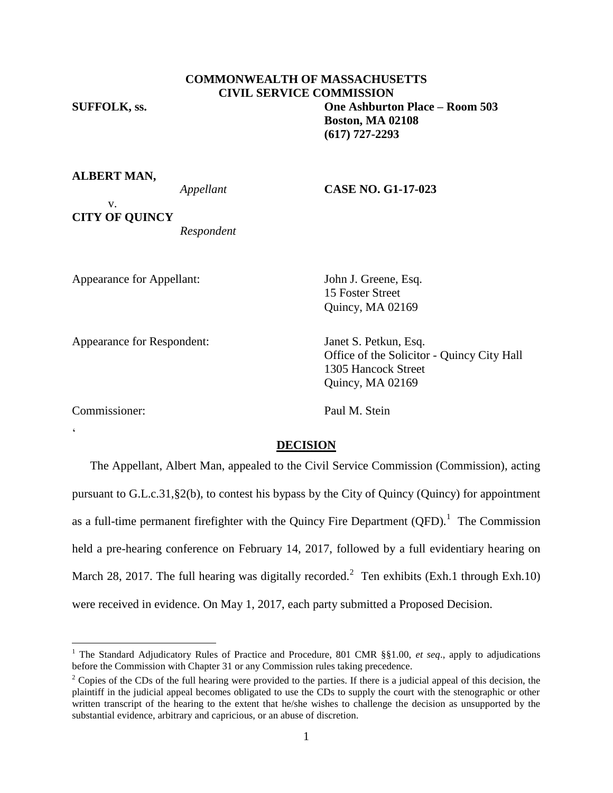# **COMMONWEALTH OF MASSACHUSETTS CIVIL SERVICE COMMISSION**

# **SUFFOLK, ss. One Ashburton Place – Room 503 Boston, MA 02108 (617) 727-2293**

### **ALBERT MAN,**

### *Appellant* **CASE NO. G1-17-023**

v. **CITY OF QUINCY**

*Respondent*

Appearance for Appellant: John J. Greene, Esq.

15 Foster Street Quincy, MA 02169

Appearance for Respondent: Janet S. Petkun, Esq.

Office of the Solicitor - Quincy City Hall 1305 Hancock Street Quincy, MA 02169

Commissioner: Paul M. Stein

 $\zeta$ 

 $\overline{a}$ 

### **DECISION**

The Appellant, Albert Man, appealed to the Civil Service Commission (Commission), acting pursuant to G.L.c.31,§2(b), to contest his bypass by the City of Quincy (Quincy) for appointment as a full-time permanent firefighter with the Quincy Fire Department  $(QFD)$ .<sup>1</sup> The Commission held a pre-hearing conference on February 14, 2017, followed by a full evidentiary hearing on March 28, 2017. The full hearing was digitally recorded.<sup>2</sup> Ten exhibits (Exh.1 through Exh.10) were received in evidence. On May 1, 2017, each party submitted a Proposed Decision.

<sup>&</sup>lt;sup>1</sup> The Standard Adjudicatory Rules of Practice and Procedure, 801 CMR §§1.00, *et seq.*, apply to adjudications before the Commission with Chapter 31 or any Commission rules taking precedence.

 $2^2$  Copies of the CDs of the full hearing were provided to the parties. If there is a judicial appeal of this decision, the plaintiff in the judicial appeal becomes obligated to use the CDs to supply the court with the stenographic or other written transcript of the hearing to the extent that he/she wishes to challenge the decision as unsupported by the substantial evidence, arbitrary and capricious, or an abuse of discretion.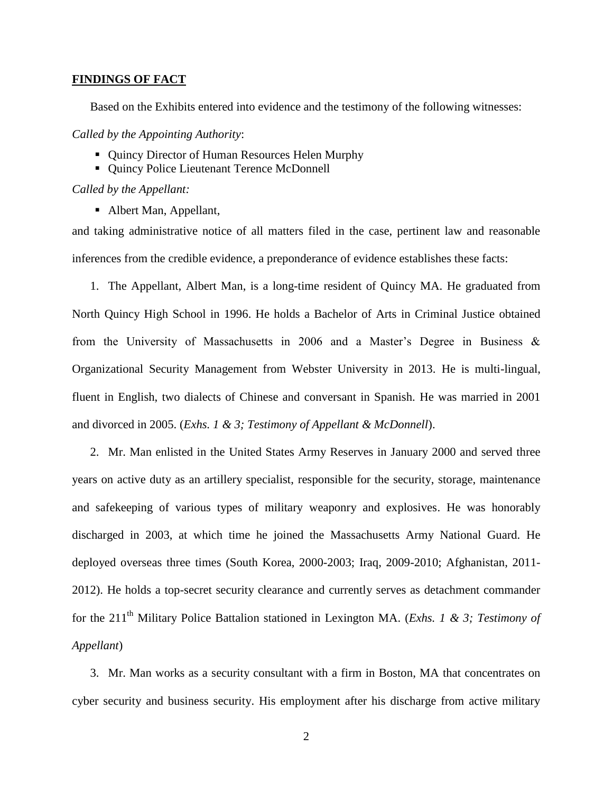### **FINDINGS OF FACT**

Based on the Exhibits entered into evidence and the testimony of the following witnesses:

*Called by the Appointing Authority*:

- Ouincy Director of Human Resources Helen Murphy
- Quincy Police Lieutenant Terence McDonnell

*Called by the Appellant:*

■ Albert Man, Appellant,

and taking administrative notice of all matters filed in the case, pertinent law and reasonable inferences from the credible evidence, a preponderance of evidence establishes these facts:

1. The Appellant, Albert Man, is a long-time resident of Quincy MA. He graduated from North Quincy High School in 1996. He holds a Bachelor of Arts in Criminal Justice obtained from the University of Massachusetts in 2006 and a Master's Degree in Business & Organizational Security Management from Webster University in 2013. He is multi-lingual, fluent in English, two dialects of Chinese and conversant in Spanish. He was married in 2001 and divorced in 2005. (*Exhs. 1 & 3; Testimony of Appellant & McDonnell*).

2. Mr. Man enlisted in the United States Army Reserves in January 2000 and served three years on active duty as an artillery specialist, responsible for the security, storage, maintenance and safekeeping of various types of military weaponry and explosives. He was honorably discharged in 2003, at which time he joined the Massachusetts Army National Guard. He deployed overseas three times (South Korea, 2000-2003; Iraq, 2009-2010; Afghanistan, 2011- 2012). He holds a top-secret security clearance and currently serves as detachment commander for the 211<sup>th</sup> Military Police Battalion stationed in Lexington MA. (*Exhs. 1 & 3; Testimony of Appellant*)

3. Mr. Man works as a security consultant with a firm in Boston, MA that concentrates on cyber security and business security. His employment after his discharge from active military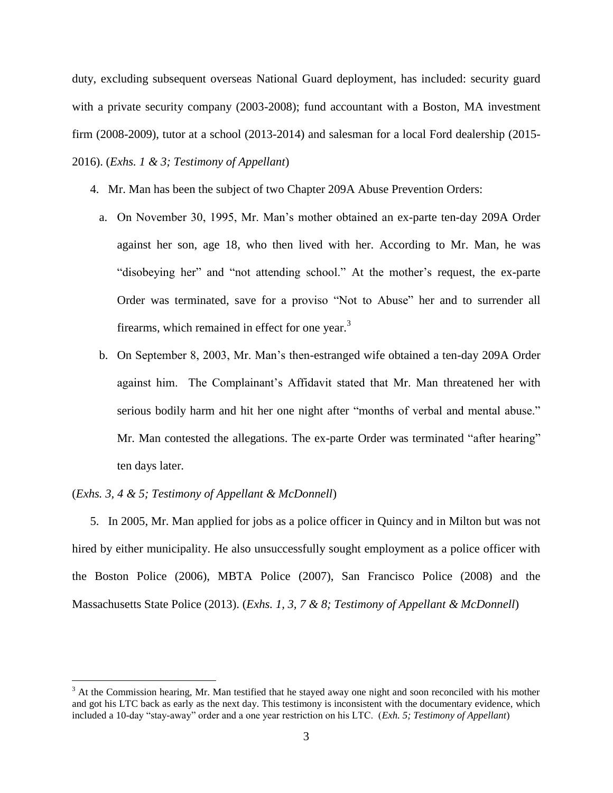duty, excluding subsequent overseas National Guard deployment, has included: security guard with a private security company (2003-2008); fund accountant with a Boston, MA investment firm (2008-2009), tutor at a school (2013-2014) and salesman for a local Ford dealership (2015- 2016). (*Exhs. 1 & 3; Testimony of Appellant*)

- 4. Mr. Man has been the subject of two Chapter 209A Abuse Prevention Orders:
	- a. On November 30, 1995, Mr. Man's mother obtained an ex-parte ten-day 209A Order against her son, age 18, who then lived with her. According to Mr. Man, he was "disobeying her" and "not attending school." At the mother's request, the ex-parte Order was terminated, save for a proviso "Not to Abuse" her and to surrender all firearms, which remained in effect for one year.<sup>3</sup>
	- b. On September 8, 2003, Mr. Man's then-estranged wife obtained a ten-day 209A Order against him. The Complainant's Affidavit stated that Mr. Man threatened her with serious bodily harm and hit her one night after "months of verbal and mental abuse." Mr. Man contested the allegations. The ex-parte Order was terminated "after hearing" ten days later.

### (*Exhs. 3, 4 & 5; Testimony of Appellant & McDonnell*)

 $\overline{a}$ 

5. In 2005, Mr. Man applied for jobs as a police officer in Quincy and in Milton but was not hired by either municipality. He also unsuccessfully sought employment as a police officer with the Boston Police (2006), MBTA Police (2007), San Francisco Police (2008) and the Massachusetts State Police (2013). (*Exhs. 1, 3, 7 & 8; Testimony of Appellant & McDonnell*)

 $3$  At the Commission hearing, Mr. Man testified that he stayed away one night and soon reconciled with his mother and got his LTC back as early as the next day. This testimony is inconsistent with the documentary evidence, which included a 10-day "stay-away" order and a one year restriction on his LTC. (*Exh. 5; Testimony of Appellant*)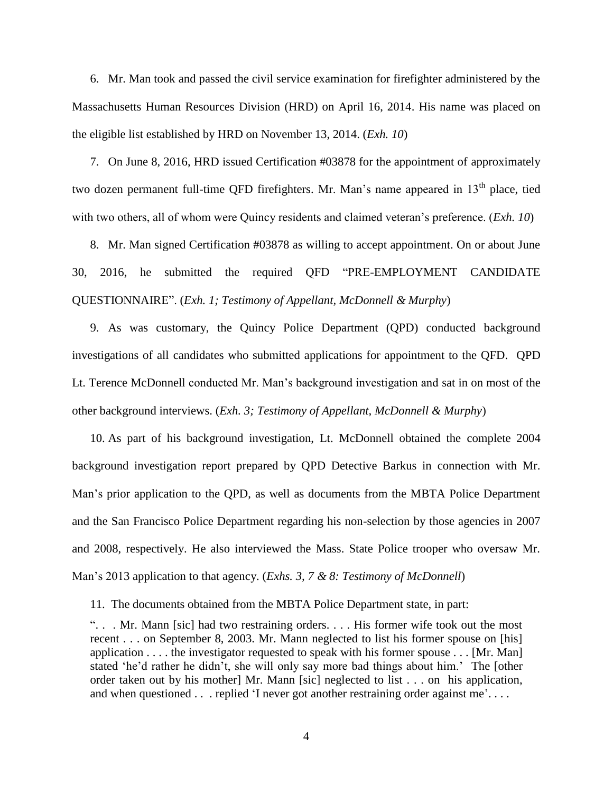6. Mr. Man took and passed the civil service examination for firefighter administered by the Massachusetts Human Resources Division (HRD) on April 16, 2014. His name was placed on the eligible list established by HRD on November 13, 2014. (*Exh. 10*)

7. On June 8, 2016, HRD issued Certification #03878 for the appointment of approximately two dozen permanent full-time QFD firefighters. Mr. Man's name appeared in  $13<sup>th</sup>$  place, tied with two others, all of whom were Quincy residents and claimed veteran's preference. (*Exh. 10*)

8. Mr. Man signed Certification #03878 as willing to accept appointment. On or about June 30, 2016, he submitted the required QFD "PRE-EMPLOYMENT CANDIDATE QUESTIONNAIRE". (*Exh. 1; Testimony of Appellant, McDonnell & Murphy*)

9. As was customary, the Quincy Police Department (QPD) conducted background investigations of all candidates who submitted applications for appointment to the QFD. QPD Lt. Terence McDonnell conducted Mr. Man's background investigation and sat in on most of the other background interviews. (*Exh. 3; Testimony of Appellant, McDonnell & Murphy*)

10. As part of his background investigation, Lt. McDonnell obtained the complete 2004 background investigation report prepared by QPD Detective Barkus in connection with Mr. Man's prior application to the QPD, as well as documents from the MBTA Police Department and the San Francisco Police Department regarding his non-selection by those agencies in 2007 and 2008, respectively. He also interviewed the Mass. State Police trooper who oversaw Mr. Man's 2013 application to that agency. (*Exhs. 3, 7 & 8: Testimony of McDonnell*)

11. The documents obtained from the MBTA Police Department state, in part:

". . . Mr. Mann [sic] had two restraining orders. . . . His former wife took out the most recent . . . on September 8, 2003. Mr. Mann neglected to list his former spouse on [his] application  $\dots$  the investigator requested to speak with his former spouse  $\dots$  [Mr. Man] stated 'he'd rather he didn't, she will only say more bad things about him.' The [other order taken out by his mother] Mr. Mann [sic] neglected to list . . . on his application, and when questioned . . . replied 'I never got another restraining order against me'....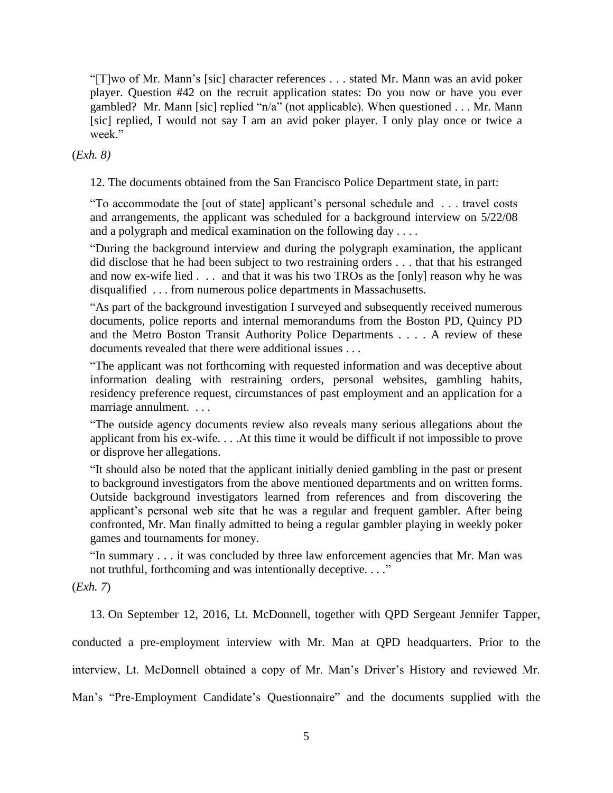"[T]wo of Mr. Mann's [sic] character references . . . stated Mr. Mann was an avid poker player. Question #42 on the recruit application states: Do you now or have you ever gambled? Mr. Mann [sic] replied "n/a" (not applicable). When questioned . . . Mr. Mann [sic] replied, I would not say I am an avid poker player. I only play once or twice a week"

(*Exh. 8)*

12. The documents obtained from the San Francisco Police Department state, in part:

"To accommodate the [out of state] applicant's personal schedule and . . . travel costs and arrangements, the applicant was scheduled for a background interview on 5/22/08 and a polygraph and medical examination on the following day . . . .

"During the background interview and during the polygraph examination, the applicant did disclose that he had been subject to two restraining orders . . . that that his estranged and now ex-wife lied . . . and that it was his two TROs as the [only] reason why he was disqualified . . . from numerous police departments in Massachusetts.

"As part of the background investigation I surveyed and subsequently received numerous documents, police reports and internal memorandums from the Boston PD, Quincy PD and the Metro Boston Transit Authority Police Departments . . . . A review of these documents revealed that there were additional issues . . .

"The applicant was not forthcoming with requested information and was deceptive about information dealing with restraining orders, personal websites, gambling habits, residency preference request, circumstances of past employment and an application for a marriage annulment. . . .

"The outside agency documents review also reveals many serious allegations about the applicant from his ex-wife. . . .At this time it would be difficult if not impossible to prove or disprove her allegations.

"It should also be noted that the applicant initially denied gambling in the past or present to background investigators from the above mentioned departments and on written forms. Outside background investigators learned from references and from discovering the applicant's personal web site that he was a regular and frequent gambler. After being confronted, Mr. Man finally admitted to being a regular gambler playing in weekly poker games and tournaments for money.

"In summary . . . it was concluded by three law enforcement agencies that Mr. Man was not truthful, forthcoming and was intentionally deceptive. . . ."

(*Exh. 7*)

13. On September 12, 2016, Lt. McDonnell, together with QPD Sergeant Jennifer Tapper,

conducted a pre-employment interview with Mr. Man at QPD headquarters. Prior to the

interview, Lt. McDonnell obtained a copy of Mr. Man's Driver's History and reviewed Mr.

Man's "Pre-Employment Candidate's Questionnaire" and the documents supplied with the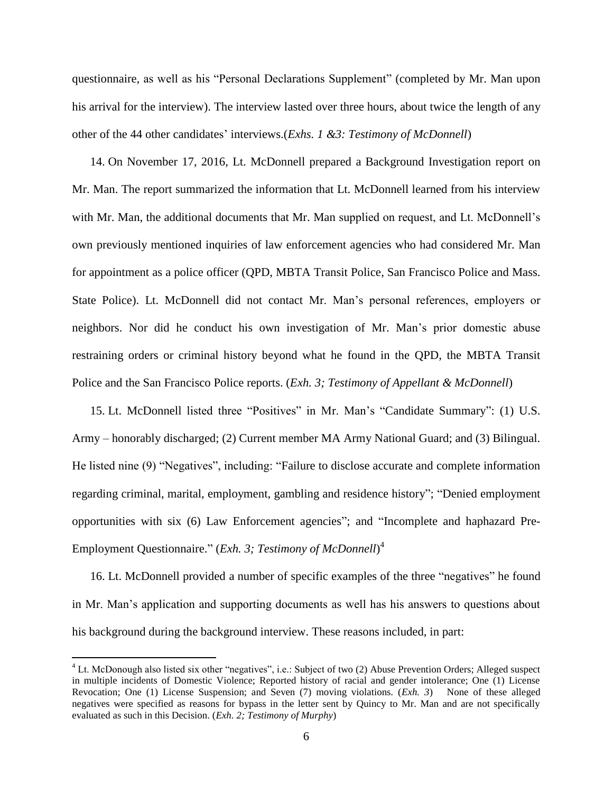questionnaire, as well as his "Personal Declarations Supplement" (completed by Mr. Man upon his arrival for the interview). The interview lasted over three hours, about twice the length of any other of the 44 other candidates' interviews.(*Exhs. 1 &3: Testimony of McDonnell*)

14. On November 17, 2016, Lt. McDonnell prepared a Background Investigation report on Mr. Man. The report summarized the information that Lt. McDonnell learned from his interview with Mr. Man, the additional documents that Mr. Man supplied on request, and Lt. McDonnell's own previously mentioned inquiries of law enforcement agencies who had considered Mr. Man for appointment as a police officer (QPD, MBTA Transit Police, San Francisco Police and Mass. State Police). Lt. McDonnell did not contact Mr. Man's personal references, employers or neighbors. Nor did he conduct his own investigation of Mr. Man's prior domestic abuse restraining orders or criminal history beyond what he found in the QPD, the MBTA Transit Police and the San Francisco Police reports. (*Exh. 3; Testimony of Appellant & McDonnell*)

15. Lt. McDonnell listed three "Positives" in Mr. Man's "Candidate Summary": (1) U.S. Army – honorably discharged; (2) Current member MA Army National Guard; and (3) Bilingual. He listed nine (9) "Negatives", including: "Failure to disclose accurate and complete information regarding criminal, marital, employment, gambling and residence history"; "Denied employment opportunities with six (6) Law Enforcement agencies"; and "Incomplete and haphazard Pre-Employment Questionnaire." (*Exh. 3; Testimony of McDonnell*) 4

16. Lt. McDonnell provided a number of specific examples of the three "negatives" he found in Mr. Man's application and supporting documents as well has his answers to questions about his background during the background interview. These reasons included, in part:

<sup>&</sup>lt;sup>4</sup> Lt. McDonough also listed six other "negatives", i.e.: Subject of two (2) Abuse Prevention Orders; Alleged suspect in multiple incidents of Domestic Violence; Reported history of racial and gender intolerance; One (1) License Revocation; One (1) License Suspension; and Seven (7) moving violations. (*Exh. 3*) None of these alleged negatives were specified as reasons for bypass in the letter sent by Quincy to Mr. Man and are not specifically evaluated as such in this Decision. (*Exh. 2; Testimony of Murphy*)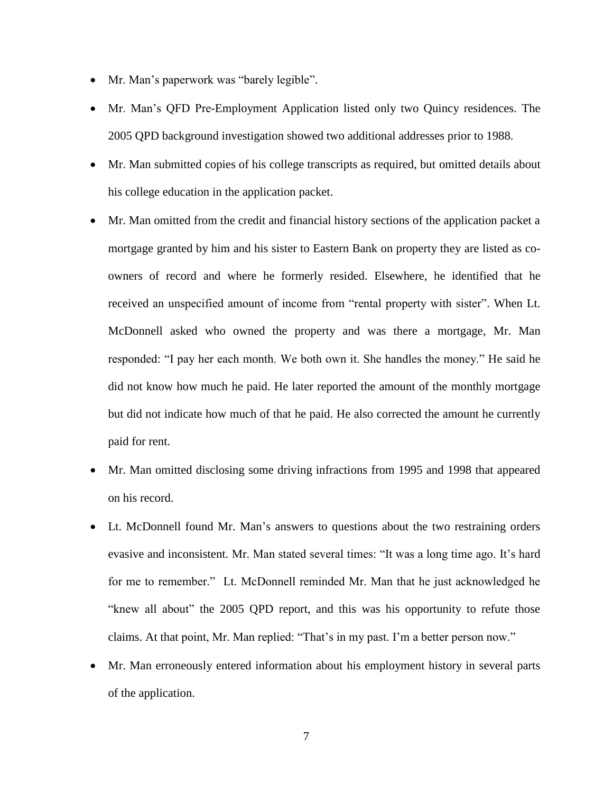- Mr. Man's paperwork was "barely legible".
- Mr. Man's QFD Pre-Employment Application listed only two Quincy residences. The 2005 QPD background investigation showed two additional addresses prior to 1988.
- Mr. Man submitted copies of his college transcripts as required, but omitted details about his college education in the application packet.
- Mr. Man omitted from the credit and financial history sections of the application packet a mortgage granted by him and his sister to Eastern Bank on property they are listed as coowners of record and where he formerly resided. Elsewhere, he identified that he received an unspecified amount of income from "rental property with sister". When Lt. McDonnell asked who owned the property and was there a mortgage, Mr. Man responded: "I pay her each month. We both own it. She handles the money." He said he did not know how much he paid. He later reported the amount of the monthly mortgage but did not indicate how much of that he paid. He also corrected the amount he currently paid for rent.
- Mr. Man omitted disclosing some driving infractions from 1995 and 1998 that appeared on his record.
- Lt. McDonnell found Mr. Man's answers to questions about the two restraining orders evasive and inconsistent. Mr. Man stated several times: "It was a long time ago. It's hard for me to remember." Lt. McDonnell reminded Mr. Man that he just acknowledged he "knew all about" the 2005 QPD report, and this was his opportunity to refute those claims. At that point, Mr. Man replied: "That's in my past. I'm a better person now."
- Mr. Man erroneously entered information about his employment history in several parts of the application.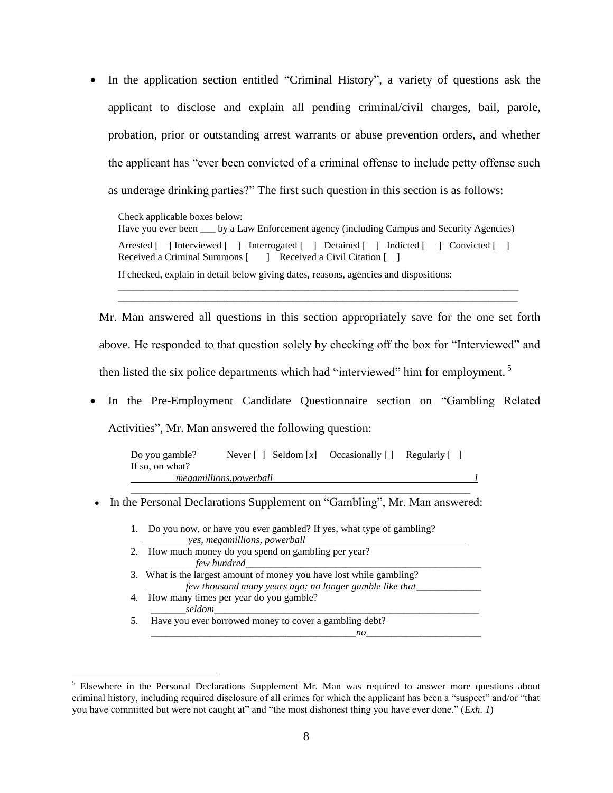In the application section entitled "Criminal History", a variety of questions ask the applicant to disclose and explain all pending criminal/civil charges, bail, parole, probation, prior or outstanding arrest warrants or abuse prevention orders, and whether the applicant has "ever been convicted of a criminal offense to include petty offense such as underage drinking parties?" The first such question in this section is as follows:

 Check applicable boxes below: Have you ever been \_\_\_ by a Law Enforcement agency (including Campus and Security Agencies) Arrested [ ] Interviewed [ ] Interrogated [ ] Detained [ ] Indicted [ ] Convicted [ ] Received a Criminal Summons [ ] Received a Civil Citation [ ] If checked, explain in detail below giving dates, reasons, agencies and dispositions:

 $\frac{1}{2}$  ,  $\frac{1}{2}$  ,  $\frac{1}{2}$  ,  $\frac{1}{2}$  ,  $\frac{1}{2}$  ,  $\frac{1}{2}$  ,  $\frac{1}{2}$  ,  $\frac{1}{2}$  ,  $\frac{1}{2}$  ,  $\frac{1}{2}$  ,  $\frac{1}{2}$  ,  $\frac{1}{2}$  ,  $\frac{1}{2}$  ,  $\frac{1}{2}$  ,  $\frac{1}{2}$  ,  $\frac{1}{2}$  ,  $\frac{1}{2}$  ,  $\frac{1}{2}$  ,  $\frac{1$  $\overline{\phantom{a}}$  ,  $\overline{\phantom{a}}$  ,  $\overline{\phantom{a}}$  ,  $\overline{\phantom{a}}$  ,  $\overline{\phantom{a}}$  ,  $\overline{\phantom{a}}$  ,  $\overline{\phantom{a}}$  ,  $\overline{\phantom{a}}$  ,  $\overline{\phantom{a}}$  ,  $\overline{\phantom{a}}$  ,  $\overline{\phantom{a}}$  ,  $\overline{\phantom{a}}$  ,  $\overline{\phantom{a}}$  ,  $\overline{\phantom{a}}$  ,  $\overline{\phantom{a}}$  ,  $\overline{\phantom{a}}$ 

Mr. Man answered all questions in this section appropriately save for the one set forth above. He responded to that question solely by checking off the box for "Interviewed" and then listed the six police departments which had "interviewed" him for employment.<sup>5</sup>

• In the Pre-Employment Candidate Questionnaire section on "Gambling Related

Activities", Mr. Man answered the following question:

| Do you gamble?  | Never $[ ]$ Seldom $[x]$ Occasionally $[ ]$ Regularly $[ ]$ |  |  |
|-----------------|-------------------------------------------------------------|--|--|
| If so, on what? |                                                             |  |  |
|                 | megamillions, powerball                                     |  |  |

\_\_\_\_\_\_\_\_\_\_\_\_\_\_\_\_\_\_\_\_\_\_\_\_\_\_\_\_\_\_\_\_\_\_\_\_\_\_\_\_\_\_\_\_\_\_\_\_\_\_\_\_\_\_\_\_\_\_\_\_\_\_\_\_\_\_\_\_

- In the Personal Declarations Supplement on "Gambling", Mr. Man answered:
	- 1. Do you now, or have you ever gambled? If yes, what type of gambling? *yes, megamillions, powerball*
	- 2. How much money do you spend on gambling per year? *few hundred\_\_\_\_\_\_\_\_\_\_\_\_\_\_\_\_\_\_\_\_\_\_\_\_\_\_\_\_\_\_\_\_\_\_\_\_\_\_\_\_\_\_\_\_\_\_\_*
	- 3. What is the largest amount of money you have lost while gambling? *few thousand many years ago; no longer gamble like that*\_\_\_\_\_\_\_\_\_\_\_\_\_
	- 4. How many times per year do you gamble? \_\_\_\_\_\_\_*seldom*\_\_\_\_\_\_\_\_\_\_\_\_\_\_\_\_\_\_\_\_\_\_\_\_\_\_\_\_\_\_\_\_\_\_\_\_\_\_\_\_\_\_\_\_\_\_\_\_\_\_\_\_\_

 $\overline{a}$ 

5. Have you ever borrowed money to cover a gambling debt? *\_\_\_\_\_\_\_\_\_\_\_\_\_\_\_\_\_\_\_\_\_\_\_\_\_\_\_\_\_\_\_\_\_\_\_\_\_\_\_\_\_no\_\_\_\_\_\_\_\_\_\_\_\_\_\_\_\_\_\_\_\_\_\_\_* 

<sup>5</sup> Elsewhere in the Personal Declarations Supplement Mr. Man was required to answer more questions about criminal history, including required disclosure of all crimes for which the applicant has been a "suspect" and/or "that you have committed but were not caught at" and "the most dishonest thing you have ever done." (*Exh. 1*)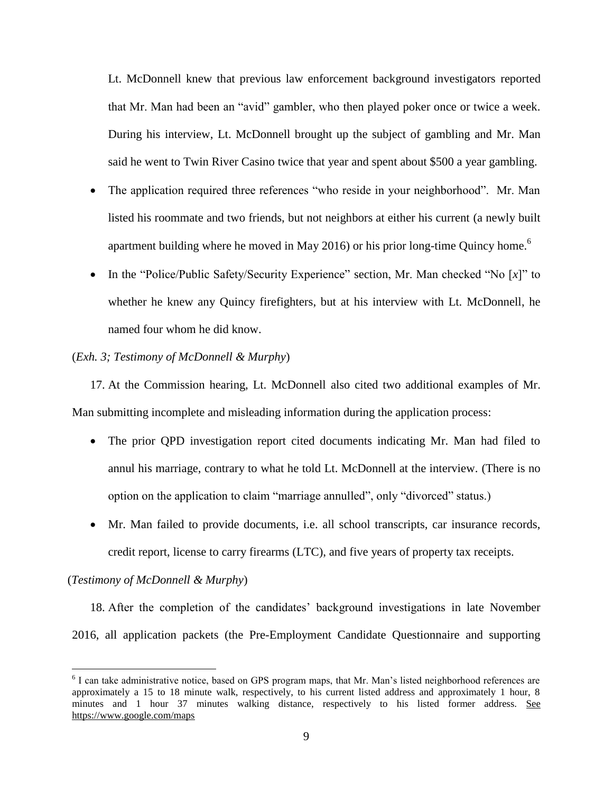Lt. McDonnell knew that previous law enforcement background investigators reported that Mr. Man had been an "avid" gambler, who then played poker once or twice a week. During his interview, Lt. McDonnell brought up the subject of gambling and Mr. Man said he went to Twin River Casino twice that year and spent about \$500 a year gambling.

- The application required three references "who reside in your neighborhood". Mr. Man listed his roommate and two friends, but not neighbors at either his current (a newly built apartment building where he moved in May 2016) or his prior long-time Quincy home.<sup>6</sup>
- In the "Police/Public Safety/Security Experience" section, Mr. Man checked "No [x]" to whether he knew any Quincy firefighters, but at his interview with Lt. McDonnell, he named four whom he did know.

## (*Exh. 3; Testimony of McDonnell & Murphy*)

17. At the Commission hearing, Lt. McDonnell also cited two additional examples of Mr. Man submitting incomplete and misleading information during the application process:

- The prior QPD investigation report cited documents indicating Mr. Man had filed to annul his marriage, contrary to what he told Lt. McDonnell at the interview. (There is no option on the application to claim "marriage annulled", only "divorced" status.)
- Mr. Man failed to provide documents, i.e. all school transcripts, car insurance records, credit report, license to carry firearms (LTC), and five years of property tax receipts.

### (*Testimony of McDonnell & Murphy*)

 $\overline{a}$ 

18. After the completion of the candidates' background investigations in late November 2016, all application packets (the Pre-Employment Candidate Questionnaire and supporting

<sup>&</sup>lt;sup>6</sup> I can take administrative notice, based on GPS program maps, that Mr. Man's listed neighborhood references are approximately a 15 to 18 minute walk, respectively, to his current listed address and approximately 1 hour, 8 minutes and 1 hour 37 minutes walking distance, respectively to his listed former address. See <https://www.google.com/maps>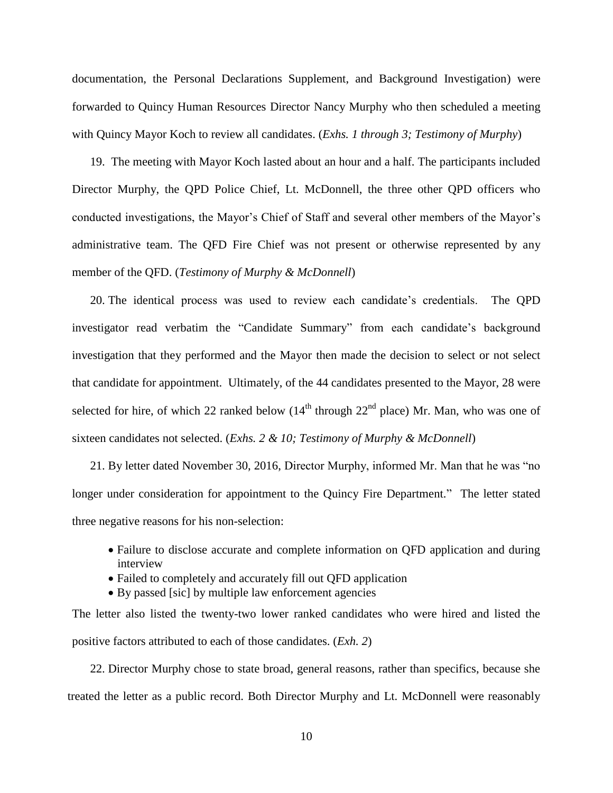documentation, the Personal Declarations Supplement, and Background Investigation) were forwarded to Quincy Human Resources Director Nancy Murphy who then scheduled a meeting with Quincy Mayor Koch to review all candidates. (*Exhs. 1 through 3; Testimony of Murphy*)

19. The meeting with Mayor Koch lasted about an hour and a half. The participants included Director Murphy, the QPD Police Chief, Lt. McDonnell, the three other QPD officers who conducted investigations, the Mayor's Chief of Staff and several other members of the Mayor's administrative team. The QFD Fire Chief was not present or otherwise represented by any member of the QFD. (*Testimony of Murphy & McDonnell*)

20. The identical process was used to review each candidate's credentials. The QPD investigator read verbatim the "Candidate Summary" from each candidate's background investigation that they performed and the Mayor then made the decision to select or not select that candidate for appointment. Ultimately, of the 44 candidates presented to the Mayor, 28 were selected for hire, of which 22 ranked below  $(14<sup>th</sup>$  through 22<sup>nd</sup> place) Mr. Man, who was one of sixteen candidates not selected. (*Exhs. 2 & 10; Testimony of Murphy & McDonnell*)

21. By letter dated November 30, 2016, Director Murphy, informed Mr. Man that he was "no longer under consideration for appointment to the Quincy Fire Department." The letter stated three negative reasons for his non-selection:

- Failure to disclose accurate and complete information on QFD application and during interview
- Failed to completely and accurately fill out QFD application
- By passed [sic] by multiple law enforcement agencies

The letter also listed the twenty-two lower ranked candidates who were hired and listed the positive factors attributed to each of those candidates. (*Exh. 2*)

22. Director Murphy chose to state broad, general reasons, rather than specifics, because she treated the letter as a public record. Both Director Murphy and Lt. McDonnell were reasonably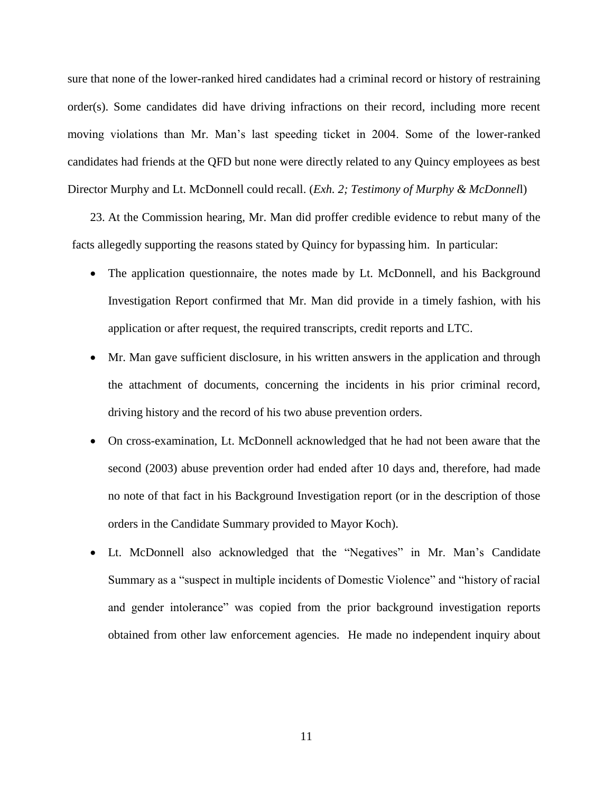sure that none of the lower-ranked hired candidates had a criminal record or history of restraining order(s). Some candidates did have driving infractions on their record, including more recent moving violations than Mr. Man's last speeding ticket in 2004. Some of the lower-ranked candidates had friends at the QFD but none were directly related to any Quincy employees as best Director Murphy and Lt. McDonnell could recall. (*Exh. 2; Testimony of Murphy & McDonnel*l)

23. At the Commission hearing, Mr. Man did proffer credible evidence to rebut many of the facts allegedly supporting the reasons stated by Quincy for bypassing him. In particular:

- The application questionnaire, the notes made by Lt. McDonnell, and his Background Investigation Report confirmed that Mr. Man did provide in a timely fashion, with his application or after request, the required transcripts, credit reports and LTC.
- Mr. Man gave sufficient disclosure, in his written answers in the application and through the attachment of documents, concerning the incidents in his prior criminal record, driving history and the record of his two abuse prevention orders.
- On cross-examination, Lt. McDonnell acknowledged that he had not been aware that the second (2003) abuse prevention order had ended after 10 days and, therefore, had made no note of that fact in his Background Investigation report (or in the description of those orders in the Candidate Summary provided to Mayor Koch).
- Lt. McDonnell also acknowledged that the "Negatives" in Mr. Man's Candidate Summary as a "suspect in multiple incidents of Domestic Violence" and "history of racial and gender intolerance" was copied from the prior background investigation reports obtained from other law enforcement agencies. He made no independent inquiry about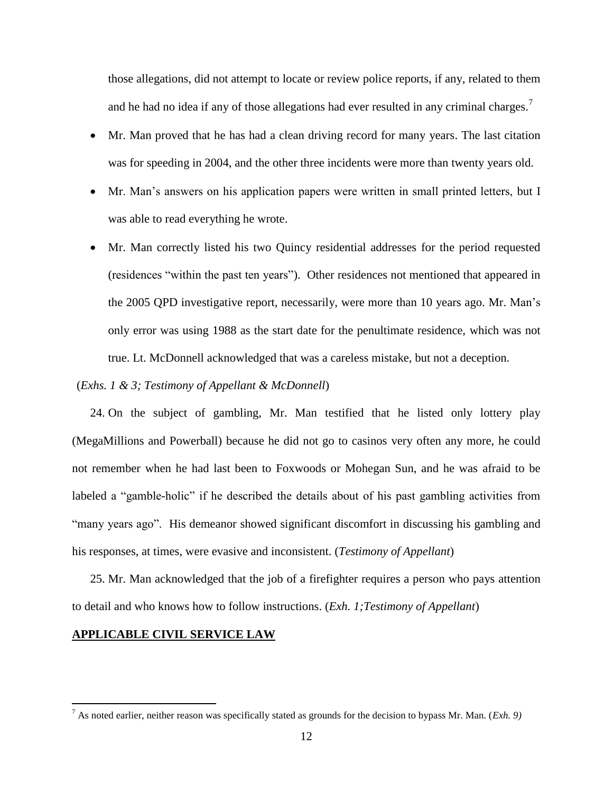those allegations, did not attempt to locate or review police reports, if any, related to them and he had no idea if any of those allegations had ever resulted in any criminal charges.<sup>7</sup>

- Mr. Man proved that he has had a clean driving record for many years. The last citation was for speeding in 2004, and the other three incidents were more than twenty years old.
- Mr. Man's answers on his application papers were written in small printed letters, but I was able to read everything he wrote.
- Mr. Man correctly listed his two Quincy residential addresses for the period requested (residences "within the past ten years"). Other residences not mentioned that appeared in the 2005 QPD investigative report, necessarily, were more than 10 years ago. Mr. Man's only error was using 1988 as the start date for the penultimate residence, which was not true. Lt. McDonnell acknowledged that was a careless mistake, but not a deception.

## (*Exhs. 1 & 3; Testimony of Appellant & McDonnell*)

24. On the subject of gambling, Mr. Man testified that he listed only lottery play (MegaMillions and Powerball) because he did not go to casinos very often any more, he could not remember when he had last been to Foxwoods or Mohegan Sun, and he was afraid to be labeled a "gamble-holic" if he described the details about of his past gambling activities from "many years ago". His demeanor showed significant discomfort in discussing his gambling and his responses, at times, were evasive and inconsistent. (*Testimony of Appellant*)

25. Mr. Man acknowledged that the job of a firefighter requires a person who pays attention to detail and who knows how to follow instructions. (*Exh. 1;Testimony of Appellant*)

### **APPLICABLE CIVIL SERVICE LAW**

<sup>7</sup> As noted earlier, neither reason was specifically stated as grounds for the decision to bypass Mr. Man. (*Exh. 9)*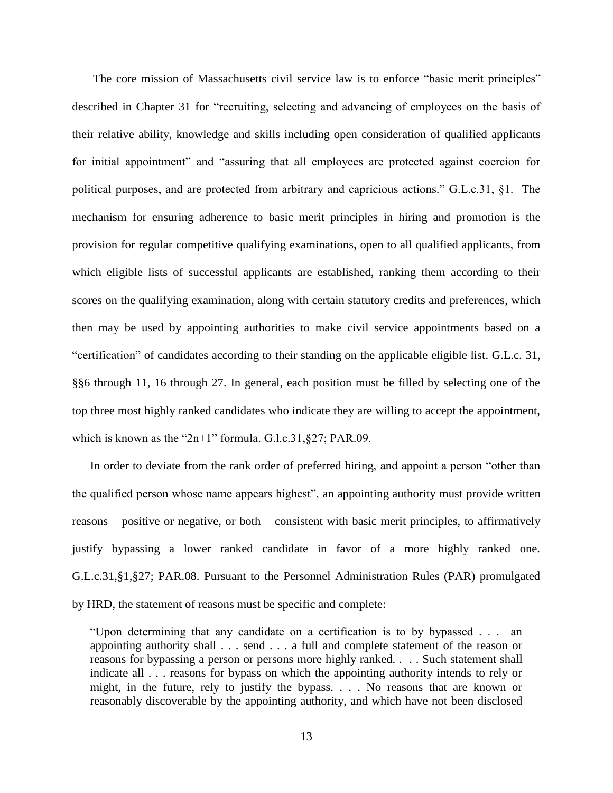The core mission of Massachusetts civil service law is to enforce "basic merit principles" described in Chapter 31 for "recruiting, selecting and advancing of employees on the basis of their relative ability, knowledge and skills including open consideration of qualified applicants for initial appointment" and "assuring that all employees are protected against coercion for political purposes, and are protected from arbitrary and capricious actions." G.L.c.31, §1. The mechanism for ensuring adherence to basic merit principles in hiring and promotion is the provision for regular competitive qualifying examinations, open to all qualified applicants, from which eligible lists of successful applicants are established, ranking them according to their scores on the qualifying examination, along with certain statutory credits and preferences, which then may be used by appointing authorities to make civil service appointments based on a "certification" of candidates according to their standing on the applicable eligible list. G.L.c. 31, §§6 through 11, 16 through 27. In general, each position must be filled by selecting one of the top three most highly ranked candidates who indicate they are willing to accept the appointment, which is known as the "2n+1" formula. G.l.c.31, §27; PAR.09.

In order to deviate from the rank order of preferred hiring, and appoint a person "other than the qualified person whose name appears highest", an appointing authority must provide written reasons – positive or negative, or both – consistent with basic merit principles, to affirmatively justify bypassing a lower ranked candidate in favor of a more highly ranked one. G.L.c.31,§1,§27; PAR.08. Pursuant to the Personnel Administration Rules (PAR) promulgated by HRD, the statement of reasons must be specific and complete:

"Upon determining that any candidate on a certification is to by bypassed . . . an appointing authority shall . . . send . . . a full and complete statement of the reason or reasons for bypassing a person or persons more highly ranked. . . . Such statement shall indicate all . . . reasons for bypass on which the appointing authority intends to rely or might, in the future, rely to justify the bypass. . . . No reasons that are known or reasonably discoverable by the appointing authority, and which have not been disclosed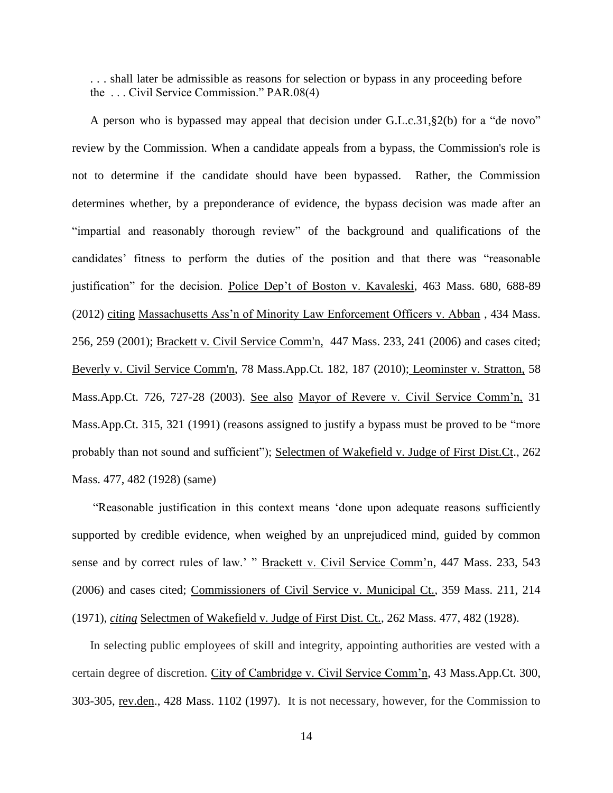. . . shall later be admissible as reasons for selection or bypass in any proceeding before the . . . Civil Service Commission." PAR.08(4)

A person who is bypassed may appeal that decision under G.L.c.31,§2(b) for a "de novo" review by the Commission. When a candidate appeals from a bypass, the Commission's role is not to determine if the candidate should have been bypassed. Rather, the Commission determines whether, by a preponderance of evidence, the bypass decision was made after an "impartial and reasonably thorough review" of the background and qualifications of the candidates' fitness to perform the duties of the position and that there was "reasonable justification" for the decision. Police Dep't of Boston v. Kavaleski, 463 Mass. 680, 688-89 (2012) citing Massachusetts Ass'n of Minority Law Enforcement Officers v. Abban , 434 Mass. 256, 259 (2001); [Brackett v. Civil Service Comm'n, 447 Mass. 233, 241 \(2006\)](http://web2.westlaw.com/find/default.wl?mt=Massachusetts&db=578&rs=WLW15.04&tc=-1&rp=%2ffind%2fdefault.wl&findtype=Y&ordoc=2029136022&serialnum=2009543382&vr=2.0&fn=_top&sv=Split&tf=-1&pbc=70F732C1&utid=1) and cases cited; [Beverly v. Civil Service Comm'n, 78 Mass.App.Ct. 182, 187 \(2010\);](http://web2.westlaw.com/find/default.wl?mt=Massachusetts&db=578&rs=WLW15.04&tc=-1&rp=%2ffind%2fdefault.wl&findtype=Y&ordoc=2029136022&serialnum=2023501172&vr=2.0&fn=_top&sv=Split&tf=-1&pbc=70F732C1&utid=1) Leominster v. Stratton, 58 Mass.App.Ct. 726, 727-28 (2003). See also Mayor of Revere v. Civil Service Comm'n, 31 Mass.App.Ct. 315, 321 (1991) (reasons assigned to justify a bypass must be proved to be "more probably than not sound and sufficient"); Selectmen of Wakefield v. Judge of First Dist.Ct., 262 Mass. 477, 482 (1928) (same)

"Reasonable justification in this context means 'done upon adequate reasons sufficiently supported by credible evidence, when weighed by an unprejudiced mind, guided by common sense and by correct rules of law.' " Brackett v. Civil Service Comm'n, 447 Mass. 233, 543 (2006) and cases cited; Commissioners of Civil Service v. Municipal Ct., 359 Mass. 211, 214 (1971), *citing* Selectmen of Wakefield v. Judge of First Dist. Ct., 262 Mass. 477, 482 (1928).

In selecting public employees of skill and integrity, appointing authorities are vested with a certain degree of discretion. City of Cambridge v. Civil Service Comm'n, 43 Mass.App.Ct. 300, 303-305, rev.den., 428 Mass. 1102 (1997). It is not necessary, however, for the Commission to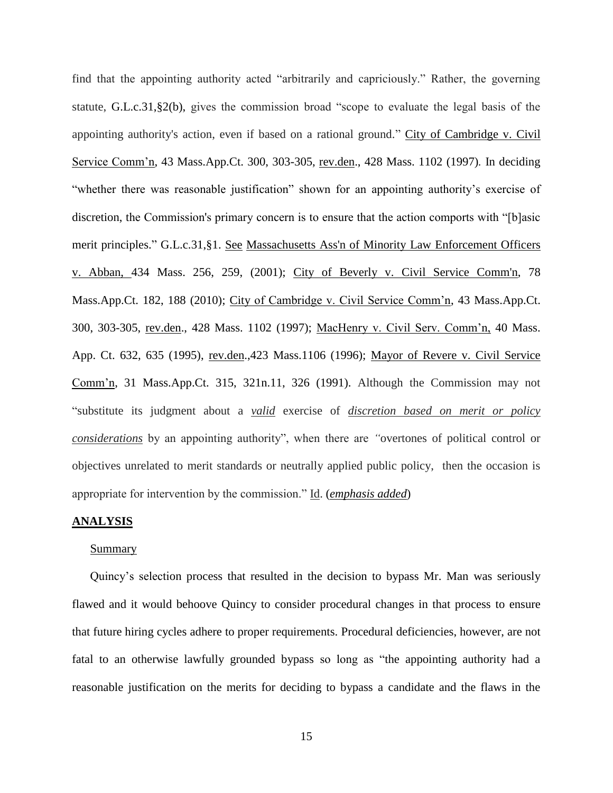find that the appointing authority acted "arbitrarily and capriciously." Rather, the governing statute, [G.L.c.31,§2\(b\),](https://1.next.westlaw.com/Link/Document/FullText?findType=L&pubNum=1000042&cite=MAST31S2&originatingDoc=Ib21af0ded3bd11d99439b076ef9ec4de&refType=LQ&originationContext=document&transitionType=DocumentItem&contextData=(sc.History*oc.UserEnteredCitation)) gives the commission broad "scope to evaluate the legal basis of the appointing authority's action, even if based on a rational ground." City of Cambridge v. Civil Service Comm'n, 43 Mass.App.Ct. 300, 303-305, rev.den., 428 Mass. 1102 (1997)*.* In deciding "whether there was reasonable justification" shown for an appointing authority's exercise of discretion, the Commission's primary concern is to ensure that the action comports with "[b]asic merit principles." [G.L.c.31,§1.](http://web2.westlaw.com/find/default.wl?mt=Massachusetts&db=1000042&rs=WLW15.04&docname=MAST31S1&rp=%2ffind%2fdefault.wl&findtype=L&ordoc=2029136022&tc=-1&vr=2.0&fn=_top&sv=Split&tf=-1&pbc=70F732C1&utid=1) See [Massachusetts Ass'n of Minority Law Enforcement Officers](http://web2.westlaw.com/find/default.wl?mt=Massachusetts&db=578&rs=WLW15.04&tc=-1&rp=%2ffind%2fdefault.wl&findtype=Y&ordoc=2029136022&serialnum=2001441097&vr=2.0&fn=_top&sv=Split&tf=-1&pbc=70F732C1&utid=1)  v. Abban, [434 Mass. 256, 259, \(2001\);](http://web2.westlaw.com/find/default.wl?mt=Massachusetts&db=578&rs=WLW15.04&tc=-1&rp=%2ffind%2fdefault.wl&findtype=Y&ordoc=2029136022&serialnum=2001441097&vr=2.0&fn=_top&sv=Split&tf=-1&pbc=70F732C1&utid=1) City of [Beverly v. Civil Service Comm'n, 78](http://web2.westlaw.com/find/default.wl?mt=Massachusetts&db=578&rs=WLW15.04&tc=-1&rp=%2ffind%2fdefault.wl&findtype=Y&ordoc=2029136022&serialnum=2023501172&vr=2.0&fn=_top&sv=Split&tf=-1&pbc=70F732C1&utid=1)  [Mass.App.Ct. 182, 188 \(2010\);](http://web2.westlaw.com/find/default.wl?mt=Massachusetts&db=578&rs=WLW15.04&tc=-1&rp=%2ffind%2fdefault.wl&findtype=Y&ordoc=2029136022&serialnum=2023501172&vr=2.0&fn=_top&sv=Split&tf=-1&pbc=70F732C1&utid=1) City of Cambridge v. Civil Service Comm'n, 43 Mass.App.Ct. 300, 303-305, rev.den., 428 Mass. 1102 (1997); MacHenry v. Civil Serv. Comm'n, 40 Mass. App. Ct. 632, 635 (1995), rev.den.,423 Mass.1106 (1996); Mayor of Revere v. Civil Service Comm'n, 31 Mass.App.Ct. 315, 321n.11, 326 (1991). Although the Commission may not "substitute its judgment about a *valid* exercise of *discretion based on merit or policy considerations* by an appointing authority", when there are *"*overtones of political control or objectives unrelated to merit standards or neutrally applied public policy, then the occasion is appropriate for intervention by the commission." Id. (*emphasis added*)

### **ANALYSIS**

#### Summary

Quincy's selection process that resulted in the decision to bypass Mr. Man was seriously flawed and it would behoove Quincy to consider procedural changes in that process to ensure that future hiring cycles adhere to proper requirements. Procedural deficiencies, however, are not fatal to an otherwise lawfully grounded bypass so long as "the appointing authority had a reasonable justification on the merits for deciding to bypass a candidate and the flaws in the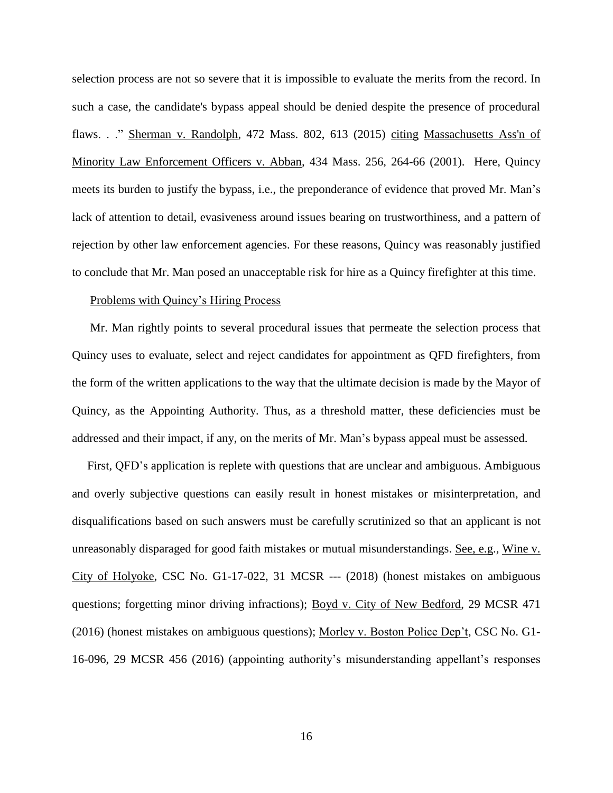selection process are not so severe that it is impossible to evaluate the merits from the record. In such a case, the candidate's bypass appeal should be denied despite the presence of procedural flaws. . ." Sherman v. Randolph, 472 Mass. 802, 613 (2015) citing [Massachusetts Ass'n of](https://1.next.westlaw.com/Link/Document/FullText?findType=Y&serNum=2001441097&pubNum=0000578&originatingDoc=I9e48b79962b011e5a807ad48145ed9f1&refType=RP&originationContext=document&transitionType=DocumentItem&contextData=(sc.Default))  [Minority Law Enforcement Officers v. Abban](https://1.next.westlaw.com/Link/Document/FullText?findType=Y&serNum=2001441097&pubNum=0000578&originatingDoc=I9e48b79962b011e5a807ad48145ed9f1&refType=RP&originationContext=document&transitionType=DocumentItem&contextData=(sc.Default))*,* 434 Mass. 256, 264-66 (2001). Here, Quincy meets its burden to justify the bypass, i.e., the preponderance of evidence that proved Mr. Man's lack of attention to detail, evasiveness around issues bearing on trustworthiness, and a pattern of rejection by other law enforcement agencies. For these reasons, Quincy was reasonably justified to conclude that Mr. Man posed an unacceptable risk for hire as a Quincy firefighter at this time.

### Problems with Quincy's Hiring Process

Mr. Man rightly points to several procedural issues that permeate the selection process that Quincy uses to evaluate, select and reject candidates for appointment as QFD firefighters, from the form of the written applications to the way that the ultimate decision is made by the Mayor of Quincy, as the Appointing Authority. Thus, as a threshold matter, these deficiencies must be addressed and their impact, if any, on the merits of Mr. Man's bypass appeal must be assessed.

First, QFD's application is replete with questions that are unclear and ambiguous. Ambiguous and overly subjective questions can easily result in honest mistakes or misinterpretation, and disqualifications based on such answers must be carefully scrutinized so that an applicant is not unreasonably disparaged for good faith mistakes or mutual misunderstandings. See, e.g., Wine v. City of Holyoke, CSC No. G1-17-022, 31 MCSR --- (2018) (honest mistakes on ambiguous questions; forgetting minor driving infractions); Boyd v. City of New Bedford, 29 MCSR 471 (2016) (honest mistakes on ambiguous questions); Morley v. Boston Police Dep't, CSC No. G1- 16-096, 29 MCSR 456 (2016) (appointing authority's misunderstanding appellant's responses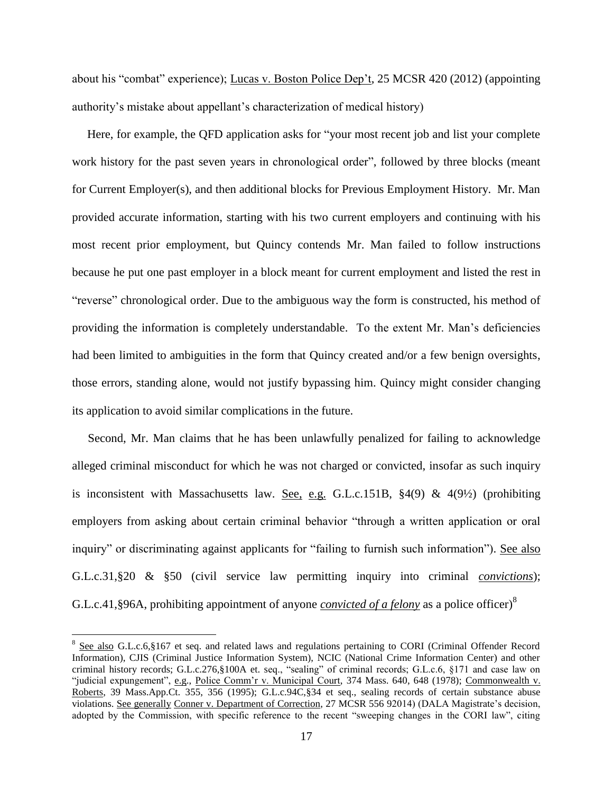about his "combat" experience); Lucas v. Boston Police Dep't, 25 MCSR 420 (2012) (appointing authority's mistake about appellant's characterization of medical history)

Here, for example, the QFD application asks for "your most recent job and list your complete work history for the past seven years in chronological order", followed by three blocks (meant for Current Employer(s), and then additional blocks for Previous Employment History. Mr. Man provided accurate information, starting with his two current employers and continuing with his most recent prior employment, but Quincy contends Mr. Man failed to follow instructions because he put one past employer in a block meant for current employment and listed the rest in "reverse" chronological order. Due to the ambiguous way the form is constructed, his method of providing the information is completely understandable. To the extent Mr. Man's deficiencies had been limited to ambiguities in the form that Quincy created and/or a few benign oversights, those errors, standing alone, would not justify bypassing him. Quincy might consider changing its application to avoid similar complications in the future.

Second, Mr. Man claims that he has been unlawfully penalized for failing to acknowledge alleged criminal misconduct for which he was not charged or convicted, insofar as such inquiry is inconsistent with Massachusetts law. See, e.g. G.L.c.151B,  $\S4(9)$  &  $4(9\frac{1}{2})$  (prohibiting employers from asking about certain criminal behavior "through a written application or oral inquiry" or discriminating against applicants for "failing to furnish such information"). See also G.L.c.31,§20 & §50 (civil service law permitting inquiry into criminal *convictions*); G.L.c.41,§96A, prohibiting appointment of anyone *convicted of a felony* as a police officer)<sup>8</sup>

 $8$  See also G.L.c.6,§167 et seq. and related laws and regulations pertaining to CORI (Criminal Offender Record Information), CJIS (Criminal Justice Information System), NCIC (National Crime Information Center) and other criminal history records; G.L.c.276,§100A et. seq., "sealing" of criminal records; G.L.c.6, §171 and case law on "judicial expungement", e.g., Police Comm'r v. Municipal Court, 374 Mass. 640, 648 (1978); Commonwealth v. Roberts, 39 Mass.App.Ct. 355, 356 (1995); G.L.c.94C,§34 et seq., sealing records of certain substance abuse violations. See generally Conner v. Department of Correction, 27 MCSR 556 92014) (DALA Magistrate's decision, adopted by the Commission, with specific reference to the recent "sweeping changes in the CORI law", citing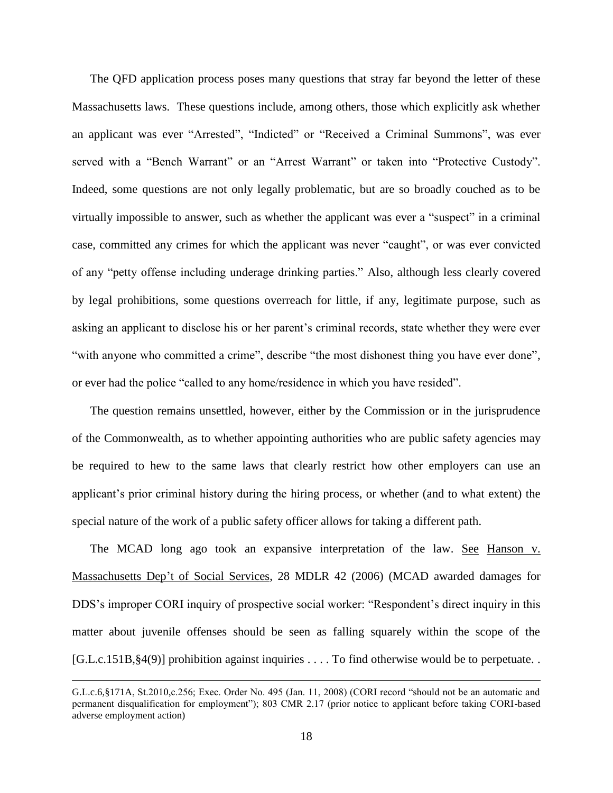The QFD application process poses many questions that stray far beyond the letter of these Massachusetts laws. These questions include, among others, those which explicitly ask whether an applicant was ever "Arrested", "Indicted" or "Received a Criminal Summons", was ever served with a "Bench Warrant" or an "Arrest Warrant" or taken into "Protective Custody". Indeed, some questions are not only legally problematic, but are so broadly couched as to be virtually impossible to answer, such as whether the applicant was ever a "suspect" in a criminal case, committed any crimes for which the applicant was never "caught", or was ever convicted of any "petty offense including underage drinking parties." Also, although less clearly covered by legal prohibitions, some questions overreach for little, if any, legitimate purpose, such as asking an applicant to disclose his or her parent's criminal records, state whether they were ever "with anyone who committed a crime", describe "the most dishonest thing you have ever done", or ever had the police "called to any home/residence in which you have resided".

The question remains unsettled, however, either by the Commission or in the jurisprudence of the Commonwealth, as to whether appointing authorities who are public safety agencies may be required to hew to the same laws that clearly restrict how other employers can use an applicant's prior criminal history during the hiring process, or whether (and to what extent) the special nature of the work of a public safety officer allows for taking a different path.

The MCAD long ago took an expansive interpretation of the law. See Hanson v. Massachusetts Dep't of Social Services, 28 MDLR 42 (2006) (MCAD awarded damages for DDS's improper CORI inquiry of prospective social worker: "Respondent's direct inquiry in this matter about juvenile offenses should be seen as falling squarely within the scope of the [G.L.c.151B,§4(9)] prohibition against inquiries . . . . To find otherwise would be to perpetuate. .

G.L.c.6,§171A, St.2010,c.256; Exec. Order No. 495 (Jan. 11, 2008) (CORI record "should not be an automatic and permanent disqualification for employment"); 803 CMR 2.17 (prior notice to applicant before taking CORI-based adverse employment action)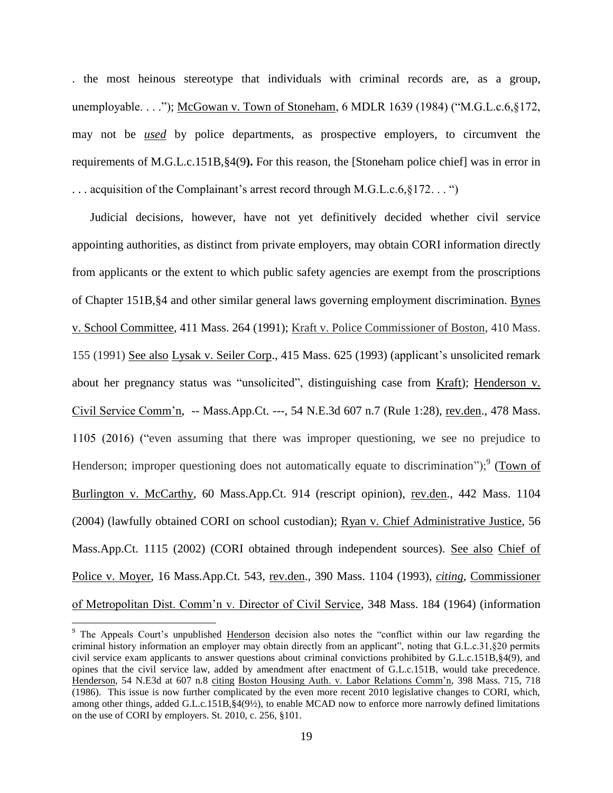. the most heinous stereotype that individuals with criminal records are, as a group, unemployable. . . ."); McGowan v. Town of Stoneham, 6 MDLR 1639 (1984) ("M.G.L.c.6,§172, may not be *used* by police departments, as prospective employers, to circumvent the requirements of M.G.L.c.151B,§4(9**).** For this reason, the [Stoneham police chief] was in error in . . . acquisition of the Complainant's arrest record through M.G.L.c.6,§172. . . ")

Judicial decisions, however, have not yet definitively decided whether civil service appointing authorities, as distinct from private employers, may obtain CORI information directly from applicants or the extent to which public safety agencies are exempt from the proscriptions of Chapter 151B,§4 and other similar general laws governing employment discrimination. Bynes v. School Committee, 411 Mass. 264 (1991); Kraft v. Police Commissioner of Boston, 410 Mass. 155 (1991) See also Lysak v. Seiler Corp., 415 Mass. 625 (1993) (applicant's unsolicited remark about her pregnancy status was "unsolicited", distinguishing case from Kraft); Henderson v. Civil Service Comm'n, -- Mass.App.Ct. ---, 54 N.E.3d 607 n.7 (Rule 1:28), rev.den., 478 Mass. 1105 (2016) ("even assuming that there was improper questioning, we see no prejudice to Henderson; improper questioning does not automatically equate to discrimination");  $\frac{9}{2}$  (Town of Burlington v. McCarthy, 60 Mass.App.Ct. 914 (rescript opinion), rev.den., 442 Mass. 1104 (2004) (lawfully obtained CORI on school custodian); Ryan v. Chief Administrative Justice, 56 Mass.App.Ct. 1115 (2002) (CORI obtained through independent sources). See also Chief of Police v. Moyer, 16 Mass.App.Ct. 543, rev.den., 390 Mass. 1104 (1993), *citing*, Commissioner of Metropolitan Dist. Comm'n v. Director of Civil Service, 348 Mass. 184 (1964) (information

<sup>9</sup> The Appeals Court's unpublished Henderson decision also notes the "conflict within our law regarding the criminal history information an employer may obtain directly from an applicant", noting that G.L.c.31,§20 permits civil service exam applicants to answer questions about criminal convictions prohibited by G.L.c.151B,§4(9), and opines that the civil service law, added by amendment after enactment of G.L.c.151B, would take precedence. Henderson, 54 N.E3d at 607 n.8 citing Boston Housing Auth. v. Labor Relations Comm'n, 398 Mass. 715, 718 (1986). This issue is now further complicated by the even more recent 2010 legislative changes to CORI, which, among other things, added G.L.c.151B,§4(9½), to enable MCAD now to enforce more narrowly defined limitations on the use of CORI by employers. St. 2010, c. 256, §101.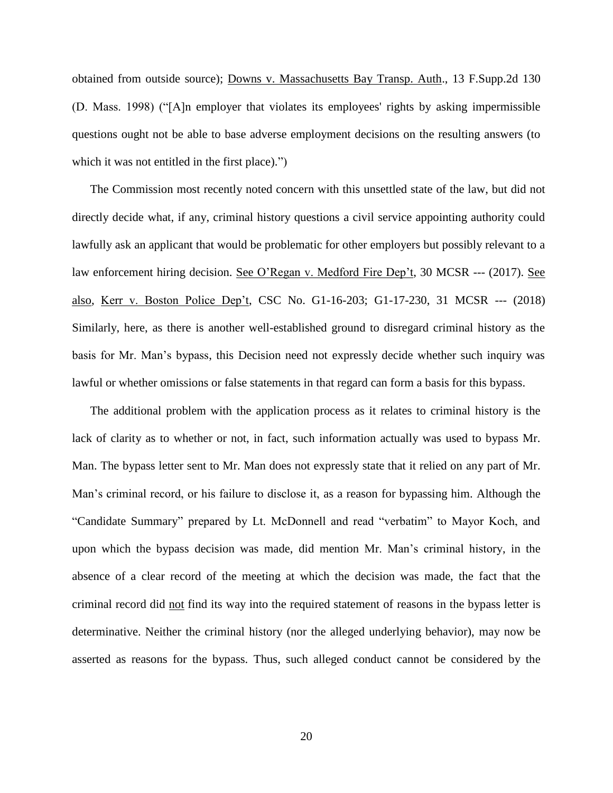obtained from outside source); Downs v. Massachusetts Bay Transp. Auth., 13 F.Supp.2d 130 (D. Mass. 1998) ("[A]n employer that violates its employees' rights by asking impermissible questions ought not be able to base adverse employment decisions on the resulting answers (to which it was not entitled in the first place)."

The Commission most recently noted concern with this unsettled state of the law, but did not directly decide what, if any, criminal history questions a civil service appointing authority could lawfully ask an applicant that would be problematic for other employers but possibly relevant to a law enforcement hiring decision. See O'Regan v. Medford Fire Dep't, 30 MCSR --- (2017). See also, Kerr v. Boston Police Dep't, CSC No. G1-16-203; G1-17-230, 31 MCSR --- (2018) Similarly, here, as there is another well-established ground to disregard criminal history as the basis for Mr. Man's bypass, this Decision need not expressly decide whether such inquiry was lawful or whether omissions or false statements in that regard can form a basis for this bypass.

The additional problem with the application process as it relates to criminal history is the lack of clarity as to whether or not, in fact, such information actually was used to bypass Mr. Man. The bypass letter sent to Mr. Man does not expressly state that it relied on any part of Mr. Man's criminal record, or his failure to disclose it, as a reason for bypassing him. Although the "Candidate Summary" prepared by Lt. McDonnell and read "verbatim" to Mayor Koch, and upon which the bypass decision was made, did mention Mr. Man's criminal history, in the absence of a clear record of the meeting at which the decision was made, the fact that the criminal record did not find its way into the required statement of reasons in the bypass letter is determinative. Neither the criminal history (nor the alleged underlying behavior), may now be asserted as reasons for the bypass. Thus, such alleged conduct cannot be considered by the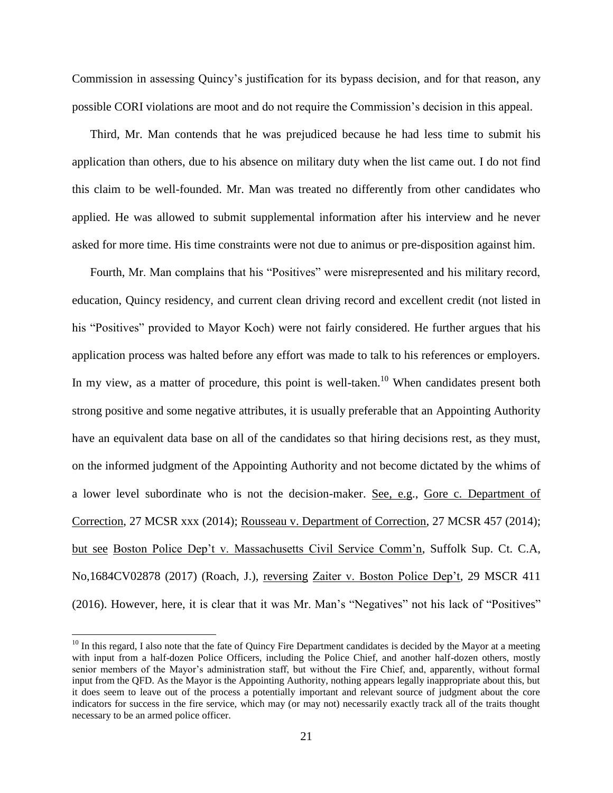Commission in assessing Quincy's justification for its bypass decision, and for that reason, any possible CORI violations are moot and do not require the Commission's decision in this appeal.

Third, Mr. Man contends that he was prejudiced because he had less time to submit his application than others, due to his absence on military duty when the list came out. I do not find this claim to be well-founded. Mr. Man was treated no differently from other candidates who applied. He was allowed to submit supplemental information after his interview and he never asked for more time. His time constraints were not due to animus or pre-disposition against him.

Fourth, Mr. Man complains that his "Positives" were misrepresented and his military record, education, Quincy residency, and current clean driving record and excellent credit (not listed in his "Positives" provided to Mayor Koch) were not fairly considered. He further argues that his application process was halted before any effort was made to talk to his references or employers. In my view, as a matter of procedure, this point is well-taken.<sup>10</sup> When candidates present both strong positive and some negative attributes, it is usually preferable that an Appointing Authority have an equivalent data base on all of the candidates so that hiring decisions rest, as they must, on the informed judgment of the Appointing Authority and not become dictated by the whims of a lower level subordinate who is not the decision-maker. See, e.g., Gore c. Department of Correction, 27 MCSR xxx (2014); Rousseau v. Department of Correction, 27 MCSR 457 (2014); but see Boston Police Dep't v. Massachusetts Civil Service Comm'n, Suffolk Sup. Ct. C.A, No,1684CV02878 (2017) (Roach, J.), reversing Zaiter v. Boston Police Dep't, 29 MSCR 411 (2016). However, here, it is clear that it was Mr. Man's "Negatives" not his lack of "Positives"

 $10$  In this regard, I also note that the fate of Quincy Fire Department candidates is decided by the Mayor at a meeting with input from a half-dozen Police Officers, including the Police Chief, and another half-dozen others, mostly senior members of the Mayor's administration staff, but without the Fire Chief, and, apparently, without formal input from the QFD. As the Mayor is the Appointing Authority, nothing appears legally inappropriate about this, but it does seem to leave out of the process a potentially important and relevant source of judgment about the core indicators for success in the fire service, which may (or may not) necessarily exactly track all of the traits thought necessary to be an armed police officer.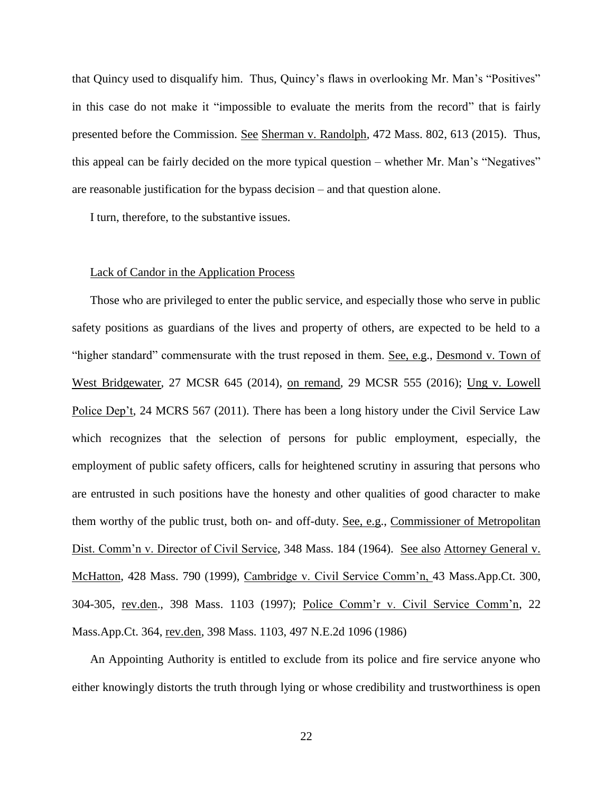that Quincy used to disqualify him. Thus, Quincy's flaws in overlooking Mr. Man's "Positives" in this case do not make it "impossible to evaluate the merits from the record" that is fairly presented before the Commission. See Sherman v. Randolph, 472 Mass. 802, 613 (2015). Thus, this appeal can be fairly decided on the more typical question – whether Mr. Man's "Negatives" are reasonable justification for the bypass decision – and that question alone.

I turn, therefore, to the substantive issues.

#### Lack of Candor in the Application Process

Those who are privileged to enter the public service, and especially those who serve in public safety positions as guardians of the lives and property of others, are expected to be held to a "higher standard" commensurate with the trust reposed in them. See, e.g., Desmond v. Town of West Bridgewater, 27 MCSR 645 (2014), on remand, 29 MCSR 555 (2016); Ung v. Lowell Police Dep't, 24 MCRS 567 (2011). There has been a long history under the Civil Service Law which recognizes that the selection of persons for public employment, especially, the employment of public safety officers, calls for heightened scrutiny in assuring that persons who are entrusted in such positions have the honesty and other qualities of good character to make them worthy of the public trust, both on- and off-duty. See, e.g., Commissioner of Metropolitan Dist. Comm'n v. Director of Civil Service, 348 Mass. 184 (1964). See also Attorney General v. McHatton, 428 Mass. 790 (1999), Cambridge v. Civil Service Comm'n, 43 Mass.App.Ct. 300, 304-305, rev.den., 398 Mass. 1103 (1997); Police Comm'r v. Civil Service Comm'n, 22 Mass.App.Ct. 364, rev.den, 398 Mass. 1103, 497 N.E.2d 1096 (1986)

An Appointing Authority is entitled to exclude from its police and fire service anyone who either knowingly distorts the truth through lying or whose credibility and trustworthiness is open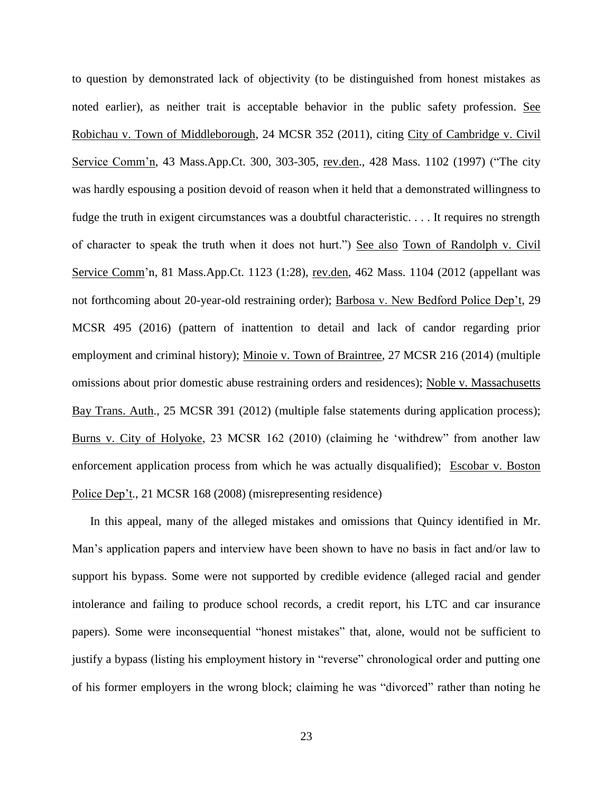to question by demonstrated lack of objectivity (to be distinguished from honest mistakes as noted earlier), as neither trait is acceptable behavior in the public safety profession. See Robichau v. Town of Middleborough, 24 MCSR 352 (2011), citing City of Cambridge v. Civil Service Comm'n, 43 Mass.App.Ct. 300, 303-305, rev.den., 428 Mass. 1102 (1997) ("The city was hardly espousing a position devoid of reason when it held that a demonstrated willingness to fudge the truth in exigent circumstances was a doubtful characteristic. . . . It requires no strength of character to speak the truth when it does not hurt.") See also Town of Randolph v. Civil Service Comm'n, 81 Mass.App.Ct. 1123 (1:28), rev.den, 462 Mass. 1104 (2012 (appellant was not forthcoming about 20-year-old restraining order); Barbosa v. New Bedford Police Dep't, 29 MCSR 495 (2016) (pattern of inattention to detail and lack of candor regarding prior employment and criminal history); Minoie v. Town of Braintree, 27 MCSR 216 (2014) (multiple omissions about prior domestic abuse restraining orders and residences); Noble v. Massachusetts Bay Trans. Auth., 25 MCSR 391 (2012) (multiple false statements during application process); Burns v. City of Holyoke, 23 MCSR 162 (2010) (claiming he 'withdrew" from another law enforcement application process from which he was actually disqualified); Escobar v. Boston Police Dep't., 21 MCSR 168 (2008) (misrepresenting residence)

In this appeal, many of the alleged mistakes and omissions that Quincy identified in Mr. Man's application papers and interview have been shown to have no basis in fact and/or law to support his bypass. Some were not supported by credible evidence (alleged racial and gender intolerance and failing to produce school records, a credit report, his LTC and car insurance papers). Some were inconsequential "honest mistakes" that, alone, would not be sufficient to justify a bypass (listing his employment history in "reverse" chronological order and putting one of his former employers in the wrong block; claiming he was "divorced" rather than noting he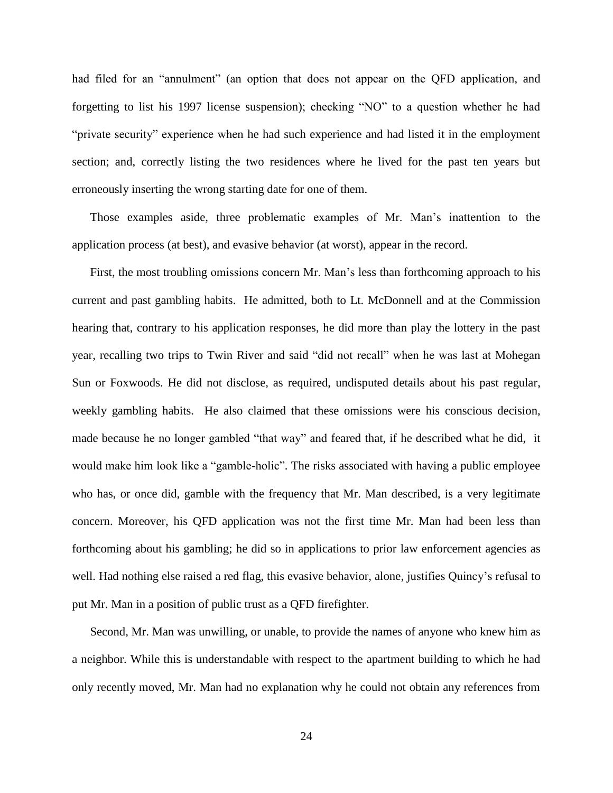had filed for an "annulment" (an option that does not appear on the OFD application, and forgetting to list his 1997 license suspension); checking "NO" to a question whether he had "private security" experience when he had such experience and had listed it in the employment section; and, correctly listing the two residences where he lived for the past ten years but erroneously inserting the wrong starting date for one of them.

Those examples aside, three problematic examples of Mr. Man's inattention to the application process (at best), and evasive behavior (at worst), appear in the record.

First, the most troubling omissions concern Mr. Man's less than forthcoming approach to his current and past gambling habits. He admitted, both to Lt. McDonnell and at the Commission hearing that, contrary to his application responses, he did more than play the lottery in the past year, recalling two trips to Twin River and said "did not recall" when he was last at Mohegan Sun or Foxwoods. He did not disclose, as required, undisputed details about his past regular, weekly gambling habits. He also claimed that these omissions were his conscious decision, made because he no longer gambled "that way" and feared that, if he described what he did, it would make him look like a "gamble-holic". The risks associated with having a public employee who has, or once did, gamble with the frequency that Mr. Man described, is a very legitimate concern. Moreover, his QFD application was not the first time Mr. Man had been less than forthcoming about his gambling; he did so in applications to prior law enforcement agencies as well. Had nothing else raised a red flag, this evasive behavior, alone, justifies Quincy's refusal to put Mr. Man in a position of public trust as a QFD firefighter.

Second, Mr. Man was unwilling, or unable, to provide the names of anyone who knew him as a neighbor. While this is understandable with respect to the apartment building to which he had only recently moved, Mr. Man had no explanation why he could not obtain any references from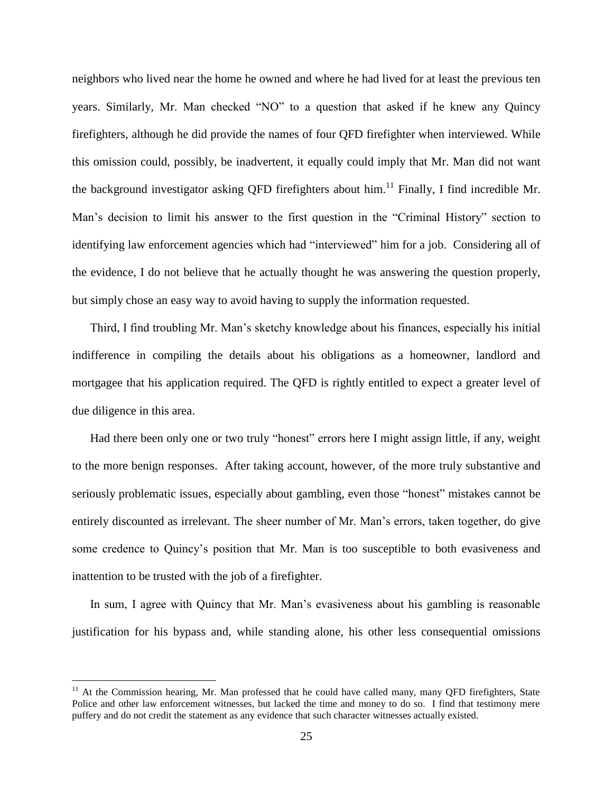neighbors who lived near the home he owned and where he had lived for at least the previous ten years. Similarly, Mr. Man checked "NO" to a question that asked if he knew any Quincy firefighters, although he did provide the names of four QFD firefighter when interviewed. While this omission could, possibly, be inadvertent, it equally could imply that Mr. Man did not want the background investigator asking QFD firefighters about him.<sup>11</sup> Finally, I find incredible Mr. Man's decision to limit his answer to the first question in the "Criminal History" section to identifying law enforcement agencies which had "interviewed" him for a job. Considering all of the evidence, I do not believe that he actually thought he was answering the question properly, but simply chose an easy way to avoid having to supply the information requested.

Third, I find troubling Mr. Man's sketchy knowledge about his finances, especially his initial indifference in compiling the details about his obligations as a homeowner, landlord and mortgagee that his application required. The QFD is rightly entitled to expect a greater level of due diligence in this area.

Had there been only one or two truly "honest" errors here I might assign little, if any, weight to the more benign responses. After taking account, however, of the more truly substantive and seriously problematic issues, especially about gambling, even those "honest" mistakes cannot be entirely discounted as irrelevant. The sheer number of Mr. Man's errors, taken together, do give some credence to Quincy's position that Mr. Man is too susceptible to both evasiveness and inattention to be trusted with the job of a firefighter.

In sum, I agree with Quincy that Mr. Man's evasiveness about his gambling is reasonable justification for his bypass and, while standing alone, his other less consequential omissions

 $11$  At the Commission hearing, Mr. Man professed that he could have called many, many QFD firefighters, State Police and other law enforcement witnesses, but lacked the time and money to do so. I find that testimony mere puffery and do not credit the statement as any evidence that such character witnesses actually existed.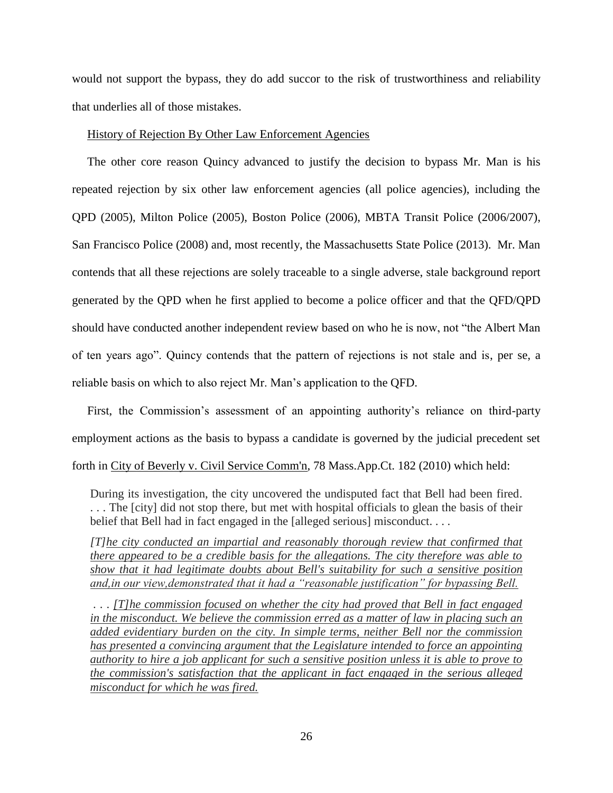would not support the bypass, they do add succor to the risk of trustworthiness and reliability that underlies all of those mistakes.

### History of Rejection By Other Law Enforcement Agencies

The other core reason Quincy advanced to justify the decision to bypass Mr. Man is his repeated rejection by six other law enforcement agencies (all police agencies), including the QPD (2005), Milton Police (2005), Boston Police (2006), MBTA Transit Police (2006/2007), San Francisco Police (2008) and, most recently, the Massachusetts State Police (2013). Mr. Man contends that all these rejections are solely traceable to a single adverse, stale background report generated by the QPD when he first applied to become a police officer and that the QFD/QPD should have conducted another independent review based on who he is now, not "the Albert Man of ten years ago". Quincy contends that the pattern of rejections is not stale and is, per se, a reliable basis on which to also reject Mr. Man's application to the QFD.

First, the Commission's assessment of an appointing authority's reliance on third-party employment actions as the basis to bypass a candidate is governed by the judicial precedent set forth in City of [Beverly v. Civil Service Comm'n, 78 Mass.App.Ct. 182 \(2010\)](http://web2.westlaw.com/find/default.wl?mt=Massachusetts&db=578&rs=WLW15.04&tc=-1&rp=%2ffind%2fdefault.wl&findtype=Y&ordoc=2029136022&serialnum=2023501172&vr=2.0&fn=_top&sv=Split&tf=-1&pbc=70F732C1&utid=1) which held:

During its investigation, the city uncovered the undisputed fact that Bell had been fired. . . . The [city] did not stop there, but met with hospital officials to glean the basis of their belief that Bell had in fact engaged in the [alleged serious] misconduct. . . .

*[T]he city conducted an impartial and reasonably thorough review that confirmed that there appeared to be a credible basis for the allegations. The city therefore was able to show that it had legitimate doubts about Bell's suitability for such a sensitive position and,in our view,demonstrated that it had a "reasonable justification" for bypassing Bell.*

. . . *[T]he commission focused on whether the city had proved that Bell in fact engaged in the misconduct. We believe the commission erred as a matter of law in placing such an added evidentiary burden on the city. In simple terms, neither Bell nor the commission has presented a convincing argument that the Legislature intended to force an appointing authority to hire a job applicant for such a sensitive position unless it is able to prove to the commission's satisfaction that the applicant in fact engaged in the serious alleged misconduct for which he was fired.*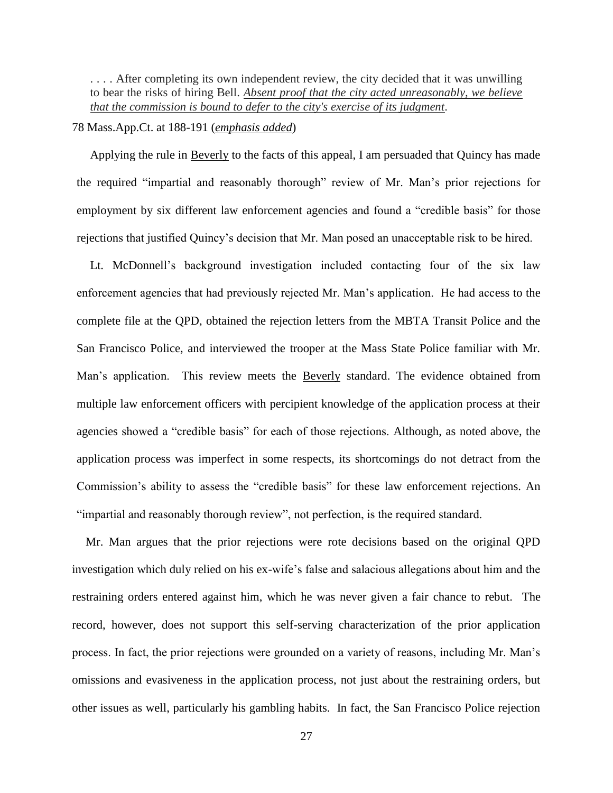. . . . After completing its own independent review, the city decided that it was unwilling to bear the risks of hiring Bell. *Absent proof that the city acted unreasonably, we believe that the commission is bound to defer to the city's exercise of its judgment*.

### 78 Mass.App.Ct. at 188-191 (*emphasis added*)

Applying the rule in Beverly to the facts of this appeal, I am persuaded that Quincy has made the required "impartial and reasonably thorough" review of Mr. Man's prior rejections for employment by six different law enforcement agencies and found a "credible basis" for those rejections that justified Quincy's decision that Mr. Man posed an unacceptable risk to be hired.

Lt. McDonnell's background investigation included contacting four of the six law enforcement agencies that had previously rejected Mr. Man's application. He had access to the complete file at the QPD, obtained the rejection letters from the MBTA Transit Police and the San Francisco Police, and interviewed the trooper at the Mass State Police familiar with Mr. Man's application. This review meets the **Beverly** standard. The evidence obtained from multiple law enforcement officers with percipient knowledge of the application process at their agencies showed a "credible basis" for each of those rejections. Although, as noted above, the application process was imperfect in some respects, its shortcomings do not detract from the Commission's ability to assess the "credible basis" for these law enforcement rejections. An "impartial and reasonably thorough review", not perfection, is the required standard.

Mr. Man argues that the prior rejections were rote decisions based on the original QPD investigation which duly relied on his ex-wife's false and salacious allegations about him and the restraining orders entered against him, which he was never given a fair chance to rebut. The record, however, does not support this self-serving characterization of the prior application process. In fact, the prior rejections were grounded on a variety of reasons, including Mr. Man's omissions and evasiveness in the application process, not just about the restraining orders, but other issues as well, particularly his gambling habits. In fact, the San Francisco Police rejection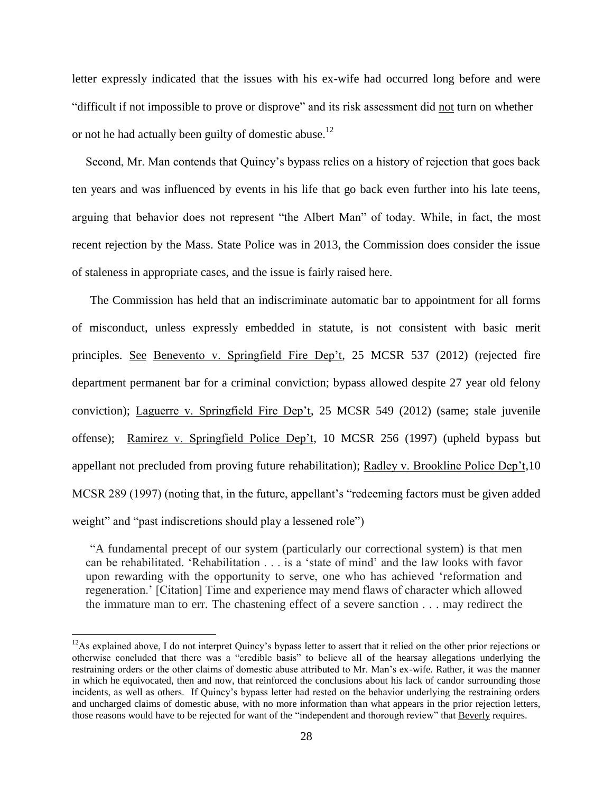letter expressly indicated that the issues with his ex-wife had occurred long before and were "difficult if not impossible to prove or disprove" and its risk assessment did not turn on whether or not he had actually been guilty of domestic abuse.<sup>12</sup>

Second, Mr. Man contends that Quincy's bypass relies on a history of rejection that goes back ten years and was influenced by events in his life that go back even further into his late teens, arguing that behavior does not represent "the Albert Man" of today. While, in fact, the most recent rejection by the Mass. State Police was in 2013, the Commission does consider the issue of staleness in appropriate cases, and the issue is fairly raised here.

The Commission has held that an indiscriminate automatic bar to appointment for all forms of misconduct, unless expressly embedded in statute, is not consistent with basic merit principles. See Benevento v. Springfield Fire Dep't, 25 MCSR 537 (2012) (rejected fire department permanent bar for a criminal conviction; bypass allowed despite 27 year old felony conviction); Laguerre v. Springfield Fire Dep't, 25 MCSR 549 (2012) (same; stale juvenile offense); Ramirez v. Springfield Police Dep't, 10 MCSR 256 (1997) (upheld bypass but appellant not precluded from proving future rehabilitation); Radley v. Brookline Police Dep't,10 MCSR 289 (1997) (noting that, in the future, appellant's "redeeming factors must be given added weight" and "past indiscretions should play a lessened role")

"A fundamental precept of our system (particularly our correctional system) is that men can be rehabilitated. 'Rehabilitation . . . is a 'state of mind' and the law looks with favor upon rewarding with the opportunity to serve, one who has achieved 'reformation and regeneration.' [Citation] Time and experience may mend flaws of character which allowed the immature man to err. The chastening effect of a severe sanction . . . may redirect the

 $12$ As explained above, I do not interpret Quincy's bypass letter to assert that it relied on the other prior rejections or otherwise concluded that there was a "credible basis" to believe all of the hearsay allegations underlying the restraining orders or the other claims of domestic abuse attributed to Mr. Man's ex-wife. Rather, it was the manner in which he equivocated, then and now, that reinforced the conclusions about his lack of candor surrounding those incidents, as well as others. If Quincy's bypass letter had rested on the behavior underlying the restraining orders and uncharged claims of domestic abuse, with no more information than what appears in the prior rejection letters, those reasons would have to be rejected for want of the "independent and thorough review" that Beverly requires.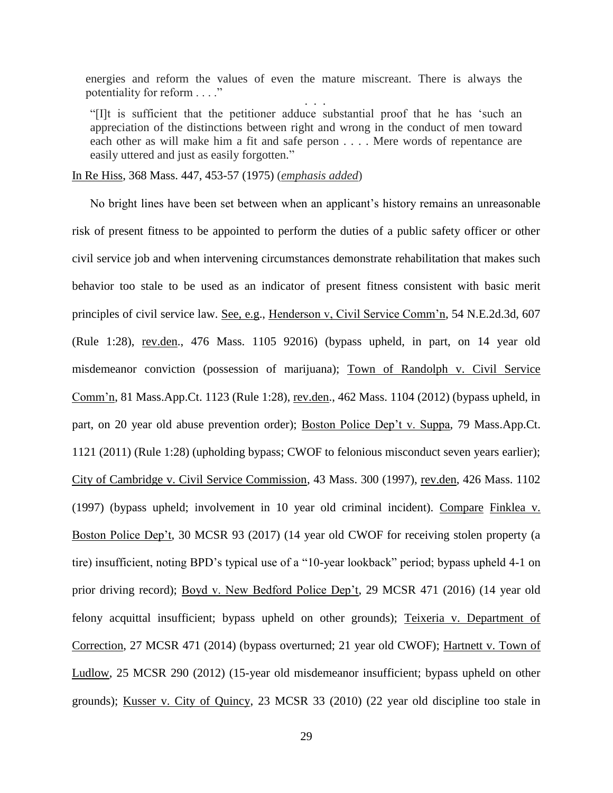energies and reform the values of even the mature miscreant. There is always the potentiality for reform . . . ." . . .

"[I]t is sufficient that the petitioner adduce substantial proof that he has 'such an appreciation of the distinctions between right and wrong in the conduct of men toward each other as will make him a fit and safe person . . . . Mere words of repentance are easily uttered and just as easily forgotten."

In Re Hiss, 368 Mass. 447, 453-57 (1975) (*emphasis added*)

No bright lines have been set between when an applicant's history remains an unreasonable risk of present fitness to be appointed to perform the duties of a public safety officer or other civil service job and when intervening circumstances demonstrate rehabilitation that makes such behavior too stale to be used as an indicator of present fitness consistent with basic merit principles of civil service law. See, e.g., Henderson v, Civil Service Comm'n, 54 N.E.2d.3d, 607 (Rule 1:28), rev.den., 476 Mass. 1105 92016) (bypass upheld, in part, on 14 year old misdemeanor conviction (possession of marijuana); Town of Randolph v. Civil Service Comm'n, 81 Mass.App.Ct. 1123 (Rule 1:28), rev.den., 462 Mass. 1104 (2012) (bypass upheld, in part, on 20 year old abuse prevention order); Boston Police Dep't v. Suppa, 79 Mass.App.Ct. 1121 (2011) (Rule 1:28) (upholding bypass; CWOF to felonious misconduct seven years earlier); City of Cambridge v. Civil Service Commission, 43 Mass. 300 (1997), rev.den, 426 Mass. 1102 (1997) (bypass upheld; involvement in 10 year old criminal incident). Compare Finklea v. Boston Police Dep't, 30 MCSR 93 (2017) (14 year old CWOF for receiving stolen property (a tire) insufficient, noting BPD's typical use of a "10-year lookback" period; bypass upheld 4-1 on prior driving record); Boyd v. New Bedford Police Dep't, 29 MCSR 471 (2016) (14 year old felony acquittal insufficient; bypass upheld on other grounds); Teixeria v. Department of Correction, 27 MCSR 471 (2014) (bypass overturned; 21 year old CWOF); Hartnett v. Town of Ludlow, 25 MCSR 290 (2012) (15-year old misdemeanor insufficient; bypass upheld on other grounds); Kusser v. City of Quincy, 23 MCSR 33 (2010) (22 year old discipline too stale in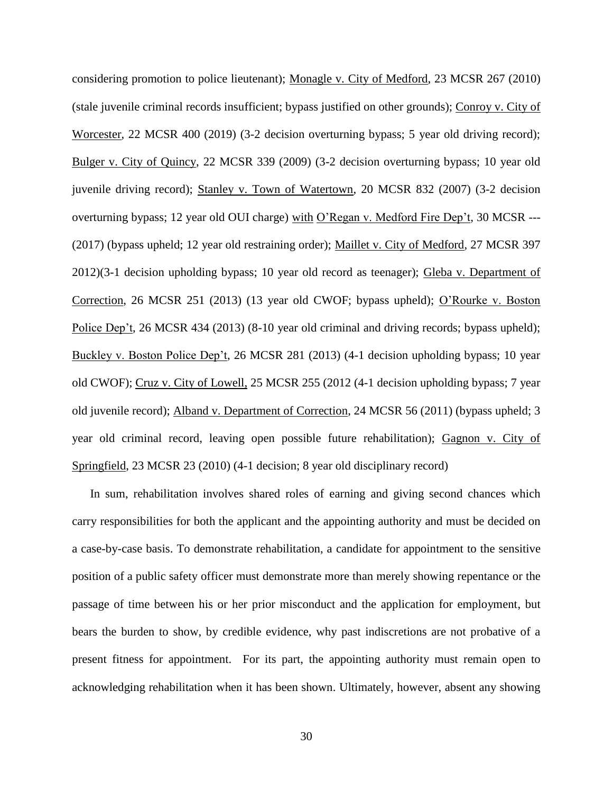considering promotion to police lieutenant); Monagle v. City of Medford, 23 MCSR 267 (2010) (stale juvenile criminal records insufficient; bypass justified on other grounds); Conroy v. City of Worcester, 22 MCSR 400 (2019) (3-2 decision overturning bypass; 5 year old driving record); Bulger v. City of Quincy, 22 MCSR 339 (2009) (3-2 decision overturning bypass; 10 year old juvenile driving record); Stanley v. Town of Watertown, 20 MCSR 832 (2007) (3-2 decision overturning bypass; 12 year old OUI charge) with O'Regan v. Medford Fire Dep't, 30 MCSR --- (2017) (bypass upheld; 12 year old restraining order); Maillet v. City of Medford, 27 MCSR 397 2012)(3-1 decision upholding bypass; 10 year old record as teenager); Gleba v. Department of Correction, 26 MCSR 251 (2013) (13 year old CWOF; bypass upheld); O'Rourke v. Boston Police Dep't, 26 MCSR 434 (2013) (8-10 year old criminal and driving records; bypass upheld); Buckley v. Boston Police Dep't, 26 MCSR 281 (2013) (4-1 decision upholding bypass; 10 year old CWOF); Cruz v. City of Lowell, 25 MCSR 255 (2012 (4-1 decision upholding bypass; 7 year old juvenile record); Alband v. Department of Correction, 24 MCSR 56 (2011) (bypass upheld; 3 year old criminal record, leaving open possible future rehabilitation); Gagnon v. City of Springfield, 23 MCSR 23 (2010) (4-1 decision; 8 year old disciplinary record)

In sum, rehabilitation involves shared roles of earning and giving second chances which carry responsibilities for both the applicant and the appointing authority and must be decided on a case-by-case basis. To demonstrate rehabilitation, a candidate for appointment to the sensitive position of a public safety officer must demonstrate more than merely showing repentance or the passage of time between his or her prior misconduct and the application for employment, but bears the burden to show, by credible evidence, why past indiscretions are not probative of a present fitness for appointment. For its part, the appointing authority must remain open to acknowledging rehabilitation when it has been shown. Ultimately, however, absent any showing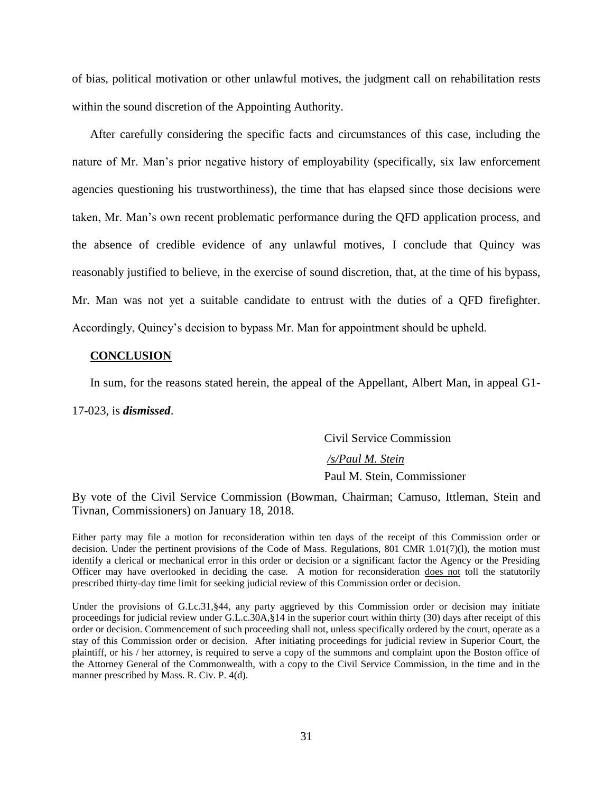of bias, political motivation or other unlawful motives, the judgment call on rehabilitation rests within the sound discretion of the Appointing Authority.

After carefully considering the specific facts and circumstances of this case, including the nature of Mr. Man's prior negative history of employability (specifically, six law enforcement agencies questioning his trustworthiness), the time that has elapsed since those decisions were taken, Mr. Man's own recent problematic performance during the QFD application process, and the absence of credible evidence of any unlawful motives, I conclude that Quincy was reasonably justified to believe, in the exercise of sound discretion, that, at the time of his bypass, Mr. Man was not yet a suitable candidate to entrust with the duties of a QFD firefighter. Accordingly, Quincy's decision to bypass Mr. Man for appointment should be upheld.

### **CONCLUSION**

In sum, for the reasons stated herein, the appeal of the Appellant, Albert Man, in appeal G1-

17-023, is *dismissed*.

Civil Service Commission */s/Paul M. Stein*  Paul M. Stein, Commissioner

By vote of the Civil Service Commission (Bowman, Chairman; Camuso, Ittleman, Stein and Tivnan, Commissioners) on January 18, 2018.

Either party may file a motion for reconsideration within ten days of the receipt of this Commission order or decision. Under the pertinent provisions of the Code of Mass. Regulations, 801 CMR 1.01(7)(l), the motion must identify a clerical or mechanical error in this order or decision or a significant factor the Agency or the Presiding Officer may have overlooked in deciding the case. A motion for reconsideration does not toll the statutorily prescribed thirty-day time limit for seeking judicial review of this Commission order or decision.

Under the provisions of G.Lc.31, §44, any party aggrieved by this Commission order or decision may initiate proceedings for judicial review under G.L.c.30A,§14 in the superior court within thirty (30) days after receipt of this order or decision. Commencement of such proceeding shall not, unless specifically ordered by the court, operate as a stay of this Commission order or decision. After initiating proceedings for judicial review in Superior Court, the plaintiff, or his / her attorney, is required to serve a copy of the summons and complaint upon the Boston office of the Attorney General of the Commonwealth, with a copy to the Civil Service Commission, in the time and in the manner prescribed by Mass. R. Civ. P. 4(d).